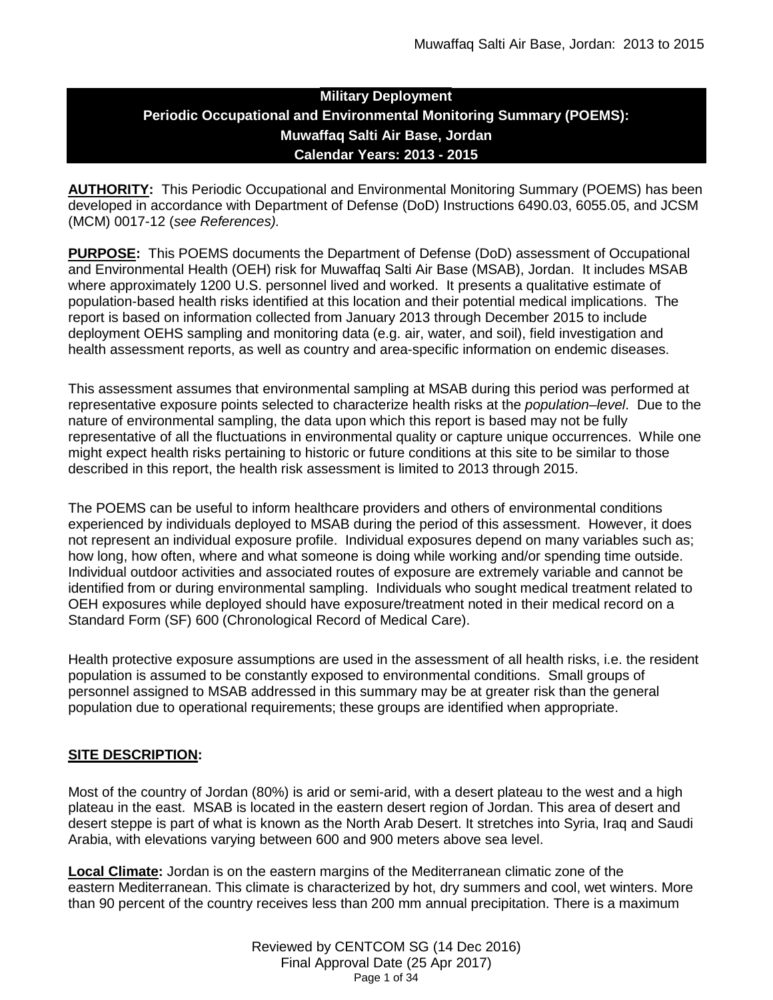# **Military Deployment Periodic Occupational and Environmental Monitoring Summary (POEMS): Muwaffaq Salti Air Base, Jordan Calendar Years: 2013 - 2015**

**AUTHORITY:** This Periodic Occupational and Environmental Monitoring Summary (POEMS) has been developed in accordance with Department of Defense (DoD) Instructions 6490.03, 6055.05, and JCSM (MCM) 0017-12 (*see References).*

**PURPOSE:** This POEMS documents the Department of Defense (DoD) assessment of Occupational and Environmental Health (OEH) risk for Muwaffaq Salti Air Base (MSAB), Jordan. It includes MSAB where approximately 1200 U.S. personnel lived and worked. It presents a qualitative estimate of population-based health risks identified at this location and their potential medical implications. The report is based on information collected from January 2013 through December 2015 to include deployment OEHS sampling and monitoring data (e.g. air, water, and soil), field investigation and health assessment reports, as well as country and area-specific information on endemic diseases.

This assessment assumes that environmental sampling at MSAB during this period was performed at representative exposure points selected to characterize health risks at the *population–level*. Due to the nature of environmental sampling, the data upon which this report is based may not be fully representative of all the fluctuations in environmental quality or capture unique occurrences. While one might expect health risks pertaining to historic or future conditions at this site to be similar to those described in this report, the health risk assessment is limited to 2013 through 2015.

The POEMS can be useful to inform healthcare providers and others of environmental conditions experienced by individuals deployed to MSAB during the period of this assessment. However, it does not represent an individual exposure profile. Individual exposures depend on many variables such as; how long, how often, where and what someone is doing while working and/or spending time outside. Individual outdoor activities and associated routes of exposure are extremely variable and cannot be identified from or during environmental sampling. Individuals who sought medical treatment related to OEH exposures while deployed should have exposure/treatment noted in their medical record on a Standard Form (SF) 600 (Chronological Record of Medical Care).

Health protective exposure assumptions are used in the assessment of all health risks, i.e. the resident population is assumed to be constantly exposed to environmental conditions. Small groups of personnel assigned to MSAB addressed in this summary may be at greater risk than the general population due to operational requirements; these groups are identified when appropriate.

# **SITE DESCRIPTION:**

Most of the country of Jordan (80%) is arid or semi-arid, with a desert plateau to the west and a high plateau in the east. MSAB is located in the eastern desert region of Jordan. This area of desert and desert steppe is part of what is known as the North Arab Desert. It stretches into Syria, Iraq and Saudi Arabia, with elevations varying between 600 and 900 meters above sea level.

**Local Climate:** Jordan is on the eastern margins of the Mediterranean climatic zone of the eastern Mediterranean. This climate is characterized by hot, dry summers and cool, wet winters. More than 90 percent of the country receives less than 200 mm annual precipitation. There is a maximum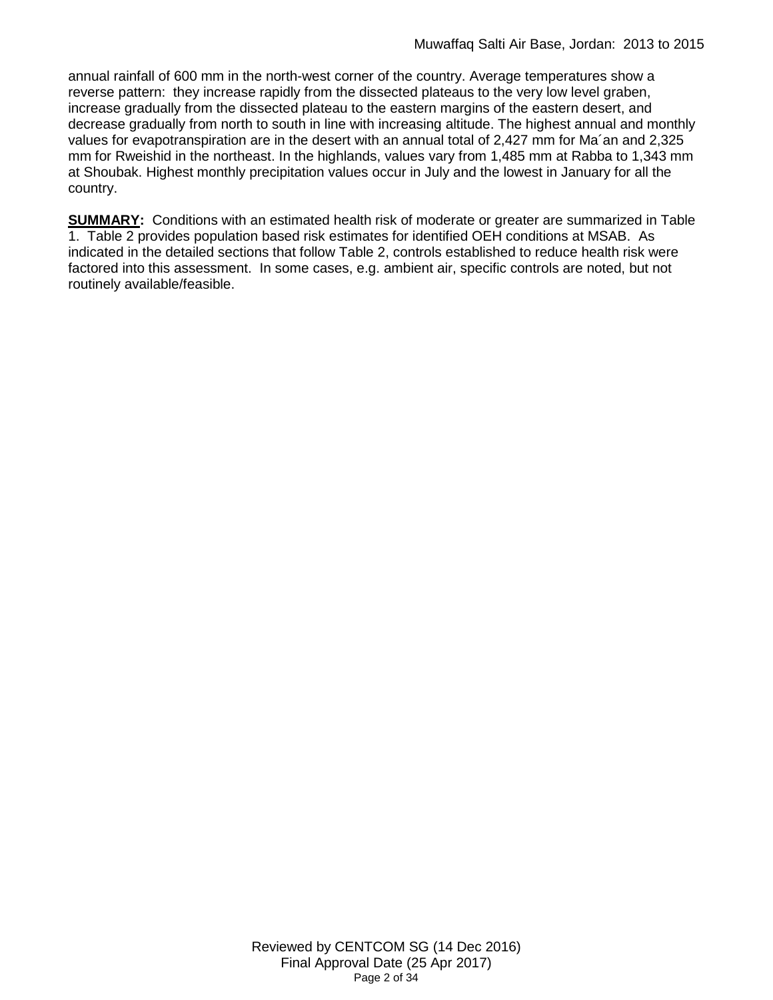annual rainfall of 600 mm in the north-west corner of the country. Average temperatures show a reverse pattern: they increase rapidly from the dissected plateaus to the very low level graben, increase gradually from the dissected plateau to the eastern margins of the eastern desert, and decrease gradually from north to south in line with increasing altitude. The highest annual and monthly values for evapotranspiration are in the desert with an annual total of 2,427 mm for Ma´an and 2,325 mm for Rweishid in the northeast. In the highlands, values vary from 1,485 mm at Rabba to 1,343 mm at Shoubak. Highest monthly precipitation values occur in July and the lowest in January for all the country.

**SUMMARY:** Conditions with an estimated health risk of moderate or greater are summarized in Table 1. Table 2 provides population based risk estimates for identified OEH conditions at MSAB. As indicated in the detailed sections that follow Table 2, controls established to reduce health risk were factored into this assessment. In some cases, e.g. ambient air, specific controls are noted, but not routinely available/feasible.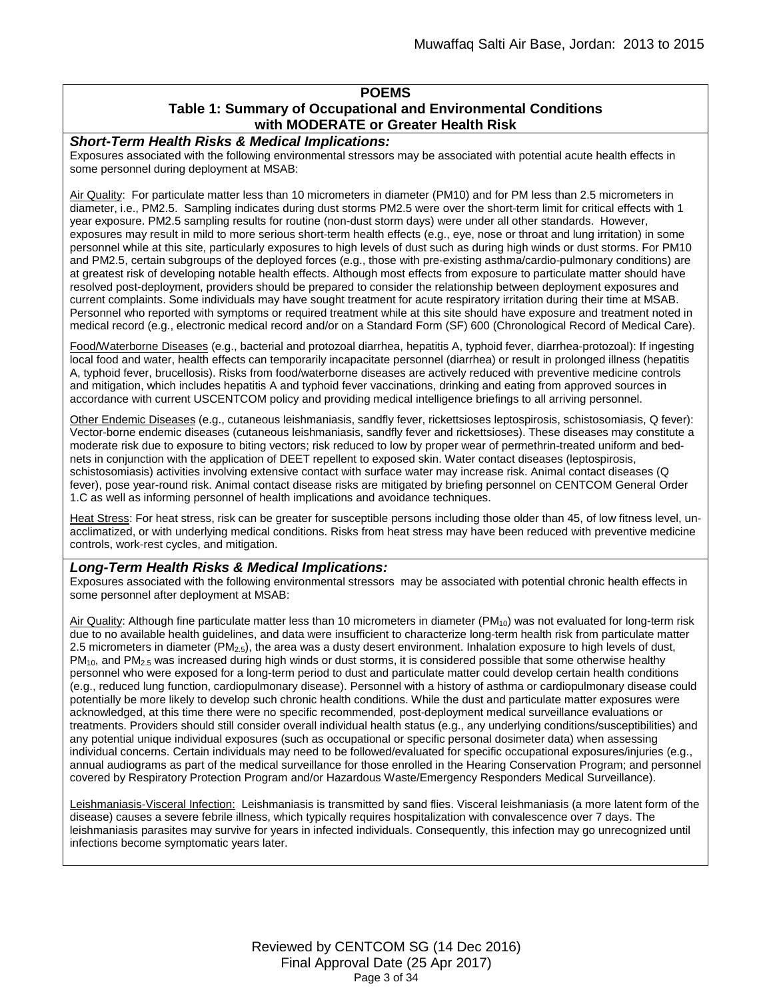# **POEMS Table 1: Summary of Occupational and Environmental Conditions with MODERATE or Greater Health Risk**

#### *Short-Term Health Risks & Medical Implications:*

Exposures associated with the following environmental stressors may be associated with potential acute health effects in some personnel during deployment at MSAB:

Air Quality: For particulate matter less than 10 micrometers in diameter (PM10) and for PM less than 2.5 micrometers in diameter, i.e., PM2.5. Sampling indicates during dust storms PM2.5 were over the short-term limit for critical effects with 1 year exposure. PM2.5 sampling results for routine (non-dust storm days) were under all other standards. However, exposures may result in mild to more serious short-term health effects (e.g., eye, nose or throat and lung irritation) in some personnel while at this site, particularly exposures to high levels of dust such as during high winds or dust storms. For PM10 and PM2.5, certain subgroups of the deployed forces (e.g., those with pre-existing asthma/cardio-pulmonary conditions) are at greatest risk of developing notable health effects. Although most effects from exposure to particulate matter should have resolved post-deployment, providers should be prepared to consider the relationship between deployment exposures and current complaints. Some individuals may have sought treatment for acute respiratory irritation during their time at MSAB. Personnel who reported with symptoms or required treatment while at this site should have exposure and treatment noted in medical record (e.g., electronic medical record and/or on a Standard Form (SF) 600 (Chronological Record of Medical Care).

Food/Waterborne Diseases (e.g., bacterial and protozoal diarrhea, hepatitis A, typhoid fever, diarrhea-protozoal): If ingesting local food and water, health effects can temporarily incapacitate personnel (diarrhea) or result in prolonged illness (hepatitis A, typhoid fever, brucellosis). Risks from food/waterborne diseases are actively reduced with preventive medicine controls and mitigation, which includes hepatitis A and typhoid fever vaccinations, drinking and eating from approved sources in accordance with current USCENTCOM policy and providing medical intelligence briefings to all arriving personnel.

Other Endemic Diseases (e.g., cutaneous leishmaniasis, sandfly fever, rickettsioses leptospirosis, schistosomiasis, Q fever): Vector-borne endemic diseases (cutaneous leishmaniasis, sandfly fever and rickettsioses). These diseases may constitute a moderate risk due to exposure to biting vectors; risk reduced to low by proper wear of permethrin-treated uniform and bednets in conjunction with the application of DEET repellent to exposed skin. Water contact diseases (leptospirosis, schistosomiasis) activities involving extensive contact with surface water may increase risk. Animal contact diseases (Q fever), pose year-round risk. Animal contact disease risks are mitigated by briefing personnel on CENTCOM General Order 1.C as well as informing personnel of health implications and avoidance techniques.

Heat Stress: For heat stress, risk can be greater for susceptible persons including those older than 45, of low fitness level, unacclimatized, or with underlying medical conditions. Risks from heat stress may have been reduced with preventive medicine controls, work-rest cycles, and mitigation.

#### *Long-Term Health Risks & Medical Implications:*

Exposures associated with the following environmental stressors may be associated with potential chronic health effects in some personnel after deployment at MSAB:

Air Quality: Although fine particulate matter less than 10 micrometers in diameter (PM<sub>10</sub>) was not evaluated for long-term risk due to no available health guidelines, and data were insufficient to characterize long-term health risk from particulate matter 2.5 micrometers in diameter ( $PM_{2.5}$ ), the area was a dusty desert environment. Inhalation exposure to high levels of dust, PM<sub>10</sub>, and PM<sub>2.5</sub> was increased during high winds or dust storms, it is considered possible that some otherwise healthy personnel who were exposed for a long-term period to dust and particulate matter could develop certain health conditions (e.g., reduced lung function, cardiopulmonary disease). Personnel with a history of asthma or cardiopulmonary disease could potentially be more likely to develop such chronic health conditions. While the dust and particulate matter exposures were acknowledged, at this time there were no specific recommended, post-deployment medical surveillance evaluations or treatments. Providers should still consider overall individual health status (e.g., any underlying conditions/susceptibilities) and any potential unique individual exposures (such as occupational or specific personal dosimeter data) when assessing individual concerns. Certain individuals may need to be followed/evaluated for specific occupational exposures/injuries (e.g., annual audiograms as part of the medical surveillance for those enrolled in the Hearing Conservation Program; and personnel covered by Respiratory Protection Program and/or Hazardous Waste/Emergency Responders Medical Surveillance).

Leishmaniasis-Visceral Infection: Leishmaniasis is transmitted by sand flies. Visceral leishmaniasis (a more latent form of the disease) causes a severe febrile illness, which typically requires hospitalization with convalescence over 7 days. The leishmaniasis parasites may survive for years in infected individuals. Consequently, this infection may go unrecognized until infections become symptomatic years later.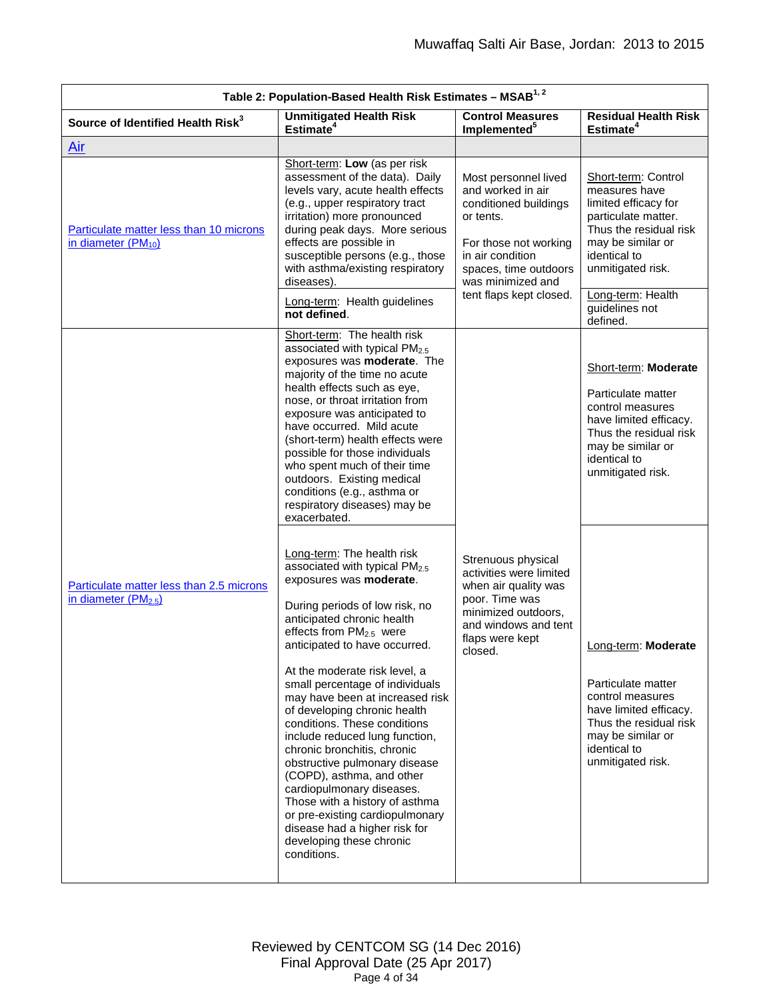<span id="page-3-0"></span>

|                                                                              | Table 2: Population-Based Health Risk Estimates - MSAB <sup>1, 2</sup>                                                                                                                                                                                                                                                                                                                                                                                                                                                                                                                                                                                                                                             |                                                                                                                                                                                                       |                                                                                                                                                                                              |  |  |  |
|------------------------------------------------------------------------------|--------------------------------------------------------------------------------------------------------------------------------------------------------------------------------------------------------------------------------------------------------------------------------------------------------------------------------------------------------------------------------------------------------------------------------------------------------------------------------------------------------------------------------------------------------------------------------------------------------------------------------------------------------------------------------------------------------------------|-------------------------------------------------------------------------------------------------------------------------------------------------------------------------------------------------------|----------------------------------------------------------------------------------------------------------------------------------------------------------------------------------------------|--|--|--|
| Source of Identified Health Risk <sup>3</sup>                                | <b>Unmitigated Health Risk</b><br><b>Control Measures</b><br><b>Residual Health Risk</b><br>Estimate <sup>4</sup><br>Estimate <sup>4</sup><br>Implemented <sup>5</sup>                                                                                                                                                                                                                                                                                                                                                                                                                                                                                                                                             |                                                                                                                                                                                                       |                                                                                                                                                                                              |  |  |  |
| <u>Air</u>                                                                   |                                                                                                                                                                                                                                                                                                                                                                                                                                                                                                                                                                                                                                                                                                                    |                                                                                                                                                                                                       |                                                                                                                                                                                              |  |  |  |
| Particulate matter less than 10 microns<br>in diameter (PM <sub>10</sub> )   | Short-term: Low (as per risk<br>assessment of the data). Daily<br>levels vary, acute health effects<br>(e.g., upper respiratory tract<br>irritation) more pronounced<br>during peak days. More serious<br>effects are possible in<br>susceptible persons (e.g., those<br>with asthma/existing respiratory<br>diseases).<br>Long-term: Health guidelines                                                                                                                                                                                                                                                                                                                                                            | Most personnel lived<br>and worked in air<br>conditioned buildings<br>or tents.<br>For those not working<br>in air condition<br>spaces, time outdoors<br>was minimized and<br>tent flaps kept closed. | Short-term: Control<br>measures have<br>limited efficacy for<br>particulate matter.<br>Thus the residual risk<br>may be similar or<br>identical to<br>unmitigated risk.<br>Long-term: Health |  |  |  |
|                                                                              | not defined.                                                                                                                                                                                                                                                                                                                                                                                                                                                                                                                                                                                                                                                                                                       |                                                                                                                                                                                                       | guidelines not<br>defined.                                                                                                                                                                   |  |  |  |
|                                                                              | Short-term: The health risk<br>associated with typical PM <sub>2.5</sub><br>exposures was moderate. The<br>majority of the time no acute<br>health effects such as eye,<br>nose, or throat irritation from<br>exposure was anticipated to<br>have occurred. Mild acute<br>(short-term) health effects were<br>possible for those individuals<br>who spent much of their time<br>outdoors. Existing medical<br>conditions (e.g., asthma or<br>respiratory diseases) may be<br>exacerbated.                                                                                                                                                                                                                          |                                                                                                                                                                                                       | Short-term: Moderate<br>Particulate matter<br>control measures<br>have limited efficacy.<br>Thus the residual risk<br>may be similar or<br>identical to<br>unmitigated risk.                 |  |  |  |
| Particulate matter less than 2.5 microns<br>in diameter (PM <sub>2.5</sub> ) | Long-term: The health risk<br>associated with typical PM2.5<br>exposures was moderate.<br>During periods of low risk, no<br>anticipated chronic health<br>effects from PM <sub>2.5</sub> were<br>anticipated to have occurred.<br>At the moderate risk level, a<br>small percentage of individuals<br>may have been at increased risk<br>of developing chronic health<br>conditions. These conditions<br>include reduced lung function,<br>chronic bronchitis, chronic<br>obstructive pulmonary disease<br>(COPD), asthma, and other<br>cardiopulmonary diseases.<br>Those with a history of asthma<br>or pre-existing cardiopulmonary<br>disease had a higher risk for<br>developing these chronic<br>conditions. | Strenuous physical<br>activities were limited<br>when air quality was<br>poor. Time was<br>minimized outdoors,<br>and windows and tent<br>flaps were kept<br>closed.                                  | Long-term: Moderate<br>Particulate matter<br>control measures<br>have limited efficacy.<br>Thus the residual risk<br>may be similar or<br>identical to<br>unmitigated risk.                  |  |  |  |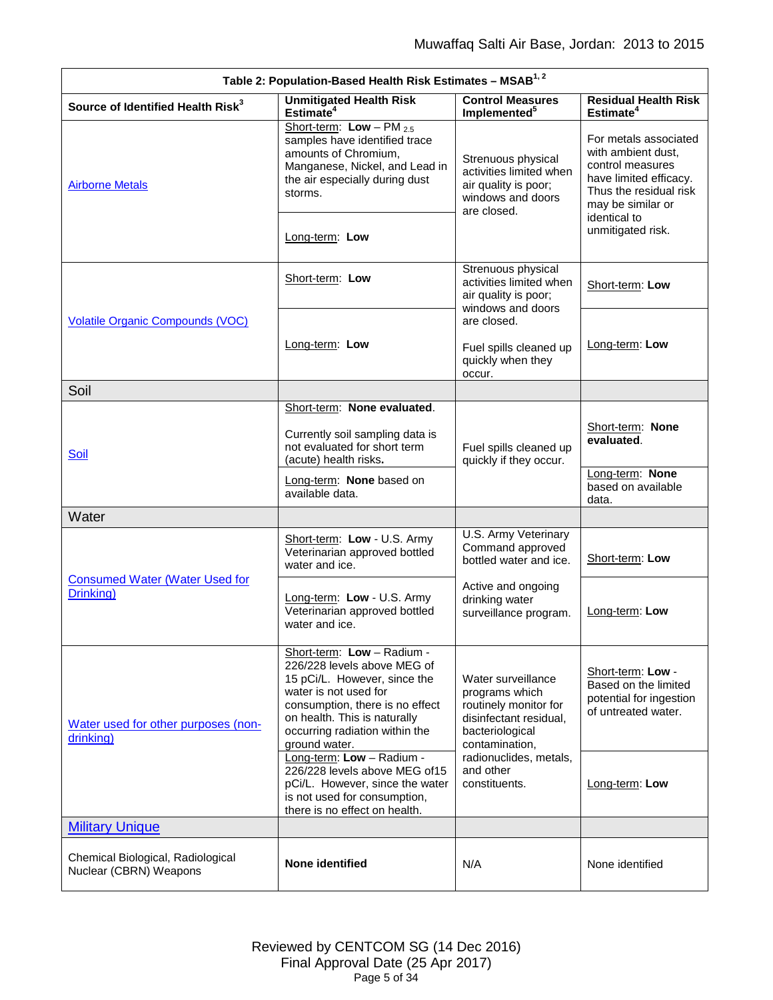<span id="page-4-5"></span><span id="page-4-4"></span><span id="page-4-3"></span><span id="page-4-2"></span><span id="page-4-1"></span><span id="page-4-0"></span>

| Table 2: Population-Based Health Risk Estimates - MSAB <sup>1, 2</sup> |                                                                                                                                                                                                                                                                                   |                                                                                                                              |                                                                                                                                                          |  |
|------------------------------------------------------------------------|-----------------------------------------------------------------------------------------------------------------------------------------------------------------------------------------------------------------------------------------------------------------------------------|------------------------------------------------------------------------------------------------------------------------------|----------------------------------------------------------------------------------------------------------------------------------------------------------|--|
| Source of Identified Health Risk <sup>3</sup>                          | <b>Unmitigated Health Risk</b><br>Estimate <sup>4</sup>                                                                                                                                                                                                                           | <b>Control Measures</b><br>Implemented <sup>5</sup>                                                                          | <b>Residual Health Risk</b><br>Estimate <sup>4</sup>                                                                                                     |  |
| <b>Airborne Metals</b>                                                 | Short-term: $Low - PM_{2.5}$<br>samples have identified trace<br>amounts of Chromium,<br>Strenuous physical<br>Manganese, Nickel, and Lead in<br>activities limited when<br>the air especially during dust<br>air quality is poor;<br>storms.<br>windows and doors<br>are closed. |                                                                                                                              | For metals associated<br>with ambient dust,<br>control measures<br>have limited efficacy.<br>Thus the residual risk<br>may be similar or<br>identical to |  |
|                                                                        | Long-term: Low                                                                                                                                                                                                                                                                    |                                                                                                                              | unmitigated risk.                                                                                                                                        |  |
|                                                                        | Short-term: Low                                                                                                                                                                                                                                                                   | Strenuous physical<br>activities limited when<br>air quality is poor;<br>windows and doors                                   | Short-term: Low                                                                                                                                          |  |
| <b>Volatile Organic Compounds (VOC)</b>                                | Long-term: Low                                                                                                                                                                                                                                                                    | are closed.<br>Fuel spills cleaned up<br>quickly when they<br>occur.                                                         | Long-term: Low                                                                                                                                           |  |
| Soil                                                                   |                                                                                                                                                                                                                                                                                   |                                                                                                                              |                                                                                                                                                          |  |
| Soil                                                                   | Short-term: None evaluated.<br>Currently soil sampling data is<br>not evaluated for short term<br>(acute) health risks.                                                                                                                                                           | Fuel spills cleaned up<br>quickly if they occur.                                                                             | Short-term: None<br>evaluated.                                                                                                                           |  |
|                                                                        | Long-term: None based on<br>available data.                                                                                                                                                                                                                                       |                                                                                                                              | Long-term: None<br>based on available<br>data.                                                                                                           |  |
| Water                                                                  |                                                                                                                                                                                                                                                                                   |                                                                                                                              |                                                                                                                                                          |  |
|                                                                        | Short-term: Low - U.S. Army<br>Veterinarian approved bottled<br>water and ice.                                                                                                                                                                                                    | U.S. Army Veterinary<br>Command approved<br>bottled water and ice.                                                           | Short-term: Low                                                                                                                                          |  |
| <b>Consumed Water (Water Used for</b><br>Drinking)                     | Long-term: Low - U.S. Army<br>Veterinarian approved bottled<br>water and ice.                                                                                                                                                                                                     | Active and ongoing<br>drinking water<br>surveillance program.                                                                | Long-term: Low                                                                                                                                           |  |
| Water used for other purposes (non-<br>drinking)                       | Short-term: Low - Radium -<br>226/228 levels above MEG of<br>15 pCi/L. However, since the<br>water is not used for<br>consumption, there is no effect<br>on health. This is naturally<br>occurring radiation within the<br>ground water.                                          | Water surveillance<br>programs which<br>routinely monitor for<br>disinfectant residual,<br>bacteriological<br>contamination, | Short-term: Low -<br>Based on the limited<br>potential for ingestion<br>of untreated water.                                                              |  |
|                                                                        | Long-term: Low - Radium -<br>226/228 levels above MEG of15<br>pCi/L. However, since the water<br>is not used for consumption,<br>there is no effect on health.                                                                                                                    | radionuclides, metals,<br>and other<br>constituents.                                                                         | Long-term: Low                                                                                                                                           |  |
| <b>Military Unique</b>                                                 |                                                                                                                                                                                                                                                                                   |                                                                                                                              |                                                                                                                                                          |  |
| Chemical Biological, Radiological<br>Nuclear (CBRN) Weapons            | None identified                                                                                                                                                                                                                                                                   | N/A                                                                                                                          | None identified                                                                                                                                          |  |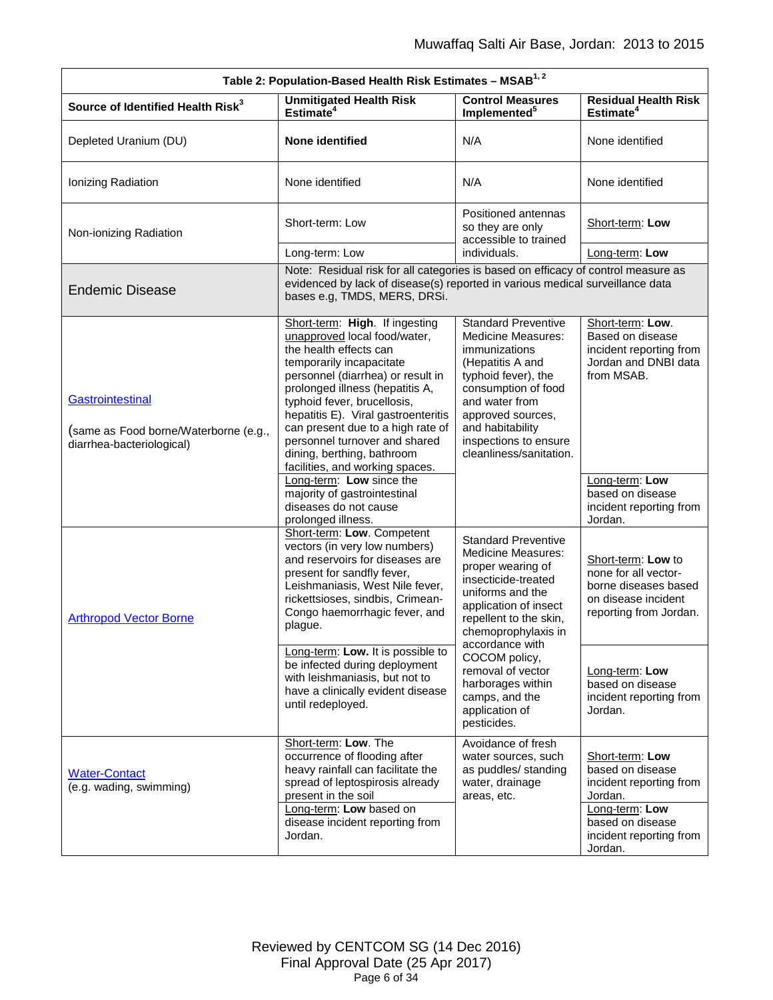<span id="page-5-1"></span><span id="page-5-0"></span>

| Table 2: Population-Based Health Risk Estimates - MSAB <sup>1,2</sup>                  |                                                                                                                                                                                                                                                                                                                                                                                                           |                                                                                                                                                                                                                                                           |                                                                                                                     |  |
|----------------------------------------------------------------------------------------|-----------------------------------------------------------------------------------------------------------------------------------------------------------------------------------------------------------------------------------------------------------------------------------------------------------------------------------------------------------------------------------------------------------|-----------------------------------------------------------------------------------------------------------------------------------------------------------------------------------------------------------------------------------------------------------|---------------------------------------------------------------------------------------------------------------------|--|
| Source of Identified Health Risk <sup>3</sup>                                          | <b>Unmitigated Health Risk</b><br>Estimate <sup>4</sup>                                                                                                                                                                                                                                                                                                                                                   | <b>Control Measures</b><br>Implemented <sup>5</sup>                                                                                                                                                                                                       | <b>Residual Health Risk</b><br>Estimate <sup>4</sup>                                                                |  |
| Depleted Uranium (DU)                                                                  | None identified                                                                                                                                                                                                                                                                                                                                                                                           | N/A                                                                                                                                                                                                                                                       | None identified                                                                                                     |  |
| Ionizing Radiation                                                                     | None identified                                                                                                                                                                                                                                                                                                                                                                                           | N/A                                                                                                                                                                                                                                                       | None identified                                                                                                     |  |
| Non-ionizing Radiation                                                                 | Short-term: Low                                                                                                                                                                                                                                                                                                                                                                                           | Positioned antennas<br>so they are only<br>accessible to trained                                                                                                                                                                                          | Short-term: Low                                                                                                     |  |
|                                                                                        | Long-term: Low                                                                                                                                                                                                                                                                                                                                                                                            | individuals.                                                                                                                                                                                                                                              | Long-term: Low                                                                                                      |  |
| <b>Endemic Disease</b>                                                                 | Note: Residual risk for all categories is based on efficacy of control measure as<br>evidenced by lack of disease(s) reported in various medical surveillance data<br>bases e.g, TMDS, MERS, DRSi.                                                                                                                                                                                                        |                                                                                                                                                                                                                                                           |                                                                                                                     |  |
| Gastrointestinal<br>(same as Food borne/Waterborne (e.g.,<br>diarrhea-bacteriological) | Short-term: High. If ingesting<br>unapproved local food/water,<br>the health effects can<br>temporarily incapacitate<br>personnel (diarrhea) or result in<br>prolonged illness (hepatitis A,<br>typhoid fever, brucellosis,<br>hepatitis E). Viral gastroenteritis<br>can present due to a high rate of<br>personnel turnover and shared<br>dining, berthing, bathroom<br>facilities, and working spaces. | <b>Standard Preventive</b><br><b>Medicine Measures:</b><br>immunizations<br>(Hepatitis A and<br>typhoid fever), the<br>consumption of food<br>and water from<br>approved sources,<br>and habitability<br>inspections to ensure<br>cleanliness/sanitation. | Short-term: Low.<br>Based on disease<br>incident reporting from<br>Jordan and DNBI data<br>from MSAB.               |  |
|                                                                                        | Long-term: Low since the<br>majority of gastrointestinal<br>diseases do not cause<br>prolonged illness.                                                                                                                                                                                                                                                                                                   |                                                                                                                                                                                                                                                           | Long-term: Low<br>based on disease<br>incident reporting from<br>Jordan.                                            |  |
| <b>Arthropod Vector Borne</b>                                                          | Short-term: Low. Competent<br>vectors (in very low numbers)<br>and reservoirs for diseases are<br>present for sandfly fever,<br>Leishmaniasis, West Nile fever,<br>rickettsioses, sindbis, Crimean-<br>Congo haemorrhagic fever, and<br>plague.                                                                                                                                                           | <b>Standard Preventive</b><br><b>Medicine Measures:</b><br>proper wearing of<br>insecticide-treated<br>uniforms and the<br>application of insect<br>repellent to the skin,<br>chemoprophylaxis in                                                         | Short-term: Low to<br>none for all vector-<br>borne diseases based<br>on disease incident<br>reporting from Jordan. |  |
|                                                                                        | Long-term: Low. It is possible to<br>be infected during deployment<br>with leishmaniasis, but not to<br>have a clinically evident disease<br>until redeployed.                                                                                                                                                                                                                                            | accordance with<br>COCOM policy,<br>removal of vector<br>harborages within<br>camps, and the<br>application of<br>pesticides.                                                                                                                             | Long-term: Low<br>based on disease<br>incident reporting from<br>Jordan.                                            |  |
| <b>Water-Contact</b><br>(e.g. wading, swimming)                                        | Short-term: Low. The<br>occurrence of flooding after<br>heavy rainfall can facilitate the<br>spread of leptospirosis already<br>present in the soil<br>Long-term: Low based on                                                                                                                                                                                                                            | Avoidance of fresh<br>water sources, such<br>as puddles/ standing<br>water, drainage<br>areas, etc.                                                                                                                                                       | Short-term: Low<br>based on disease<br>incident reporting from<br>Jordan.<br>Long-term: Low                         |  |
|                                                                                        | disease incident reporting from<br>Jordan.                                                                                                                                                                                                                                                                                                                                                                |                                                                                                                                                                                                                                                           | based on disease<br>incident reporting from<br>Jordan.                                                              |  |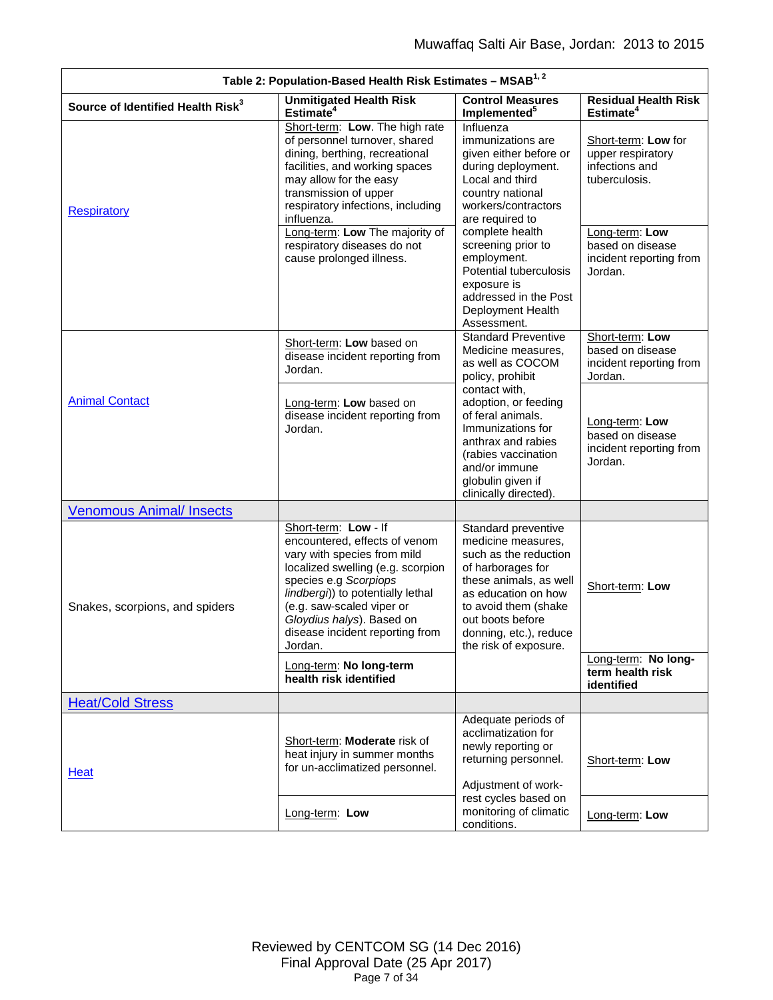<span id="page-6-3"></span><span id="page-6-2"></span><span id="page-6-1"></span><span id="page-6-0"></span>

|                                               | Table 2: Population-Based Health Risk Estimates - MSAB <sup>1, 2</sup>                                                                                                                                                                                                                          |                                                                                                                                                                                                                                         |                                                                             |
|-----------------------------------------------|-------------------------------------------------------------------------------------------------------------------------------------------------------------------------------------------------------------------------------------------------------------------------------------------------|-----------------------------------------------------------------------------------------------------------------------------------------------------------------------------------------------------------------------------------------|-----------------------------------------------------------------------------|
| Source of Identified Health Risk <sup>3</sup> | <b>Unmitigated Health Risk</b><br>Estimate <sup>4</sup>                                                                                                                                                                                                                                         | <b>Control Measures</b><br>Implemented <sup>5</sup>                                                                                                                                                                                     | <b>Residual Health Risk</b><br>Estimate <sup>4</sup>                        |
| <b>Respiratory</b>                            | Short-term: Low. The high rate<br>of personnel turnover, shared<br>dining, berthing, recreational<br>facilities, and working spaces<br>may allow for the easy<br>transmission of upper<br>respiratory infections, including<br>influenza.                                                       | Influenza<br>immunizations are<br>given either before or<br>during deployment.<br>Local and third<br>country national<br>workers/contractors<br>are required to                                                                         | Short-term: Low for<br>upper respiratory<br>infections and<br>tuberculosis. |
|                                               | Long-term: Low The majority of<br>respiratory diseases do not<br>cause prolonged illness.                                                                                                                                                                                                       | complete health<br>screening prior to<br>employment.<br>Potential tuberculosis<br>exposure is<br>addressed in the Post<br>Deployment Health<br>Assessment.                                                                              | Long-term: Low<br>based on disease<br>incident reporting from<br>Jordan.    |
|                                               | Short-term: Low based on<br>disease incident reporting from<br>Jordan.                                                                                                                                                                                                                          | <b>Standard Preventive</b><br>Medicine measures,<br>as well as COCOM<br>policy, prohibit                                                                                                                                                | Short-term: Low<br>based on disease<br>incident reporting from<br>Jordan.   |
| <b>Animal Contact</b>                         | Long-term: Low based on<br>disease incident reporting from<br>Jordan.                                                                                                                                                                                                                           | contact with,<br>adoption, or feeding<br>of feral animals.<br>Immunizations for<br>anthrax and rabies<br>(rabies vaccination<br>and/or immune<br>globulin given if<br>clinically directed).                                             | Long-term: Low<br>based on disease<br>incident reporting from<br>Jordan.    |
| <b>Venomous Animal/ Insects</b>               |                                                                                                                                                                                                                                                                                                 |                                                                                                                                                                                                                                         |                                                                             |
| Snakes, scorpions, and spiders                | Short-term: Low - If<br>encountered, effects of venom<br>vary with species from mild<br>localized swelling (e.g. scorpion<br>species e.g Scorpiops<br>lindbergi)) to potentially lethal<br>(e.g. saw-scaled viper or<br>Gloydius halys). Based on<br>disease incident reporting from<br>Jordan. | Standard preventive<br>medicine measures,<br>such as the reduction<br>of harborages for<br>these animals, as well<br>as education on how<br>to avoid them (shake<br>out boots before<br>donning, etc.), reduce<br>the risk of exposure. | Short-term: Low                                                             |
|                                               | Long-term: No long-term<br>health risk identified                                                                                                                                                                                                                                               | Long-term: No long-<br>term health risk<br>identified                                                                                                                                                                                   |                                                                             |
| <b>Heat/Cold Stress</b>                       |                                                                                                                                                                                                                                                                                                 |                                                                                                                                                                                                                                         |                                                                             |
| Heat                                          | Short-term: Moderate risk of<br>heat injury in summer months<br>for un-acclimatized personnel.                                                                                                                                                                                                  | Adequate periods of<br>acclimatization for<br>newly reporting or<br>returning personnel.<br>Adjustment of work-                                                                                                                         | Short-term: Low                                                             |
|                                               | Long-term: Low                                                                                                                                                                                                                                                                                  | rest cycles based on<br>monitoring of climatic<br>conditions.                                                                                                                                                                           | Long-term: Low                                                              |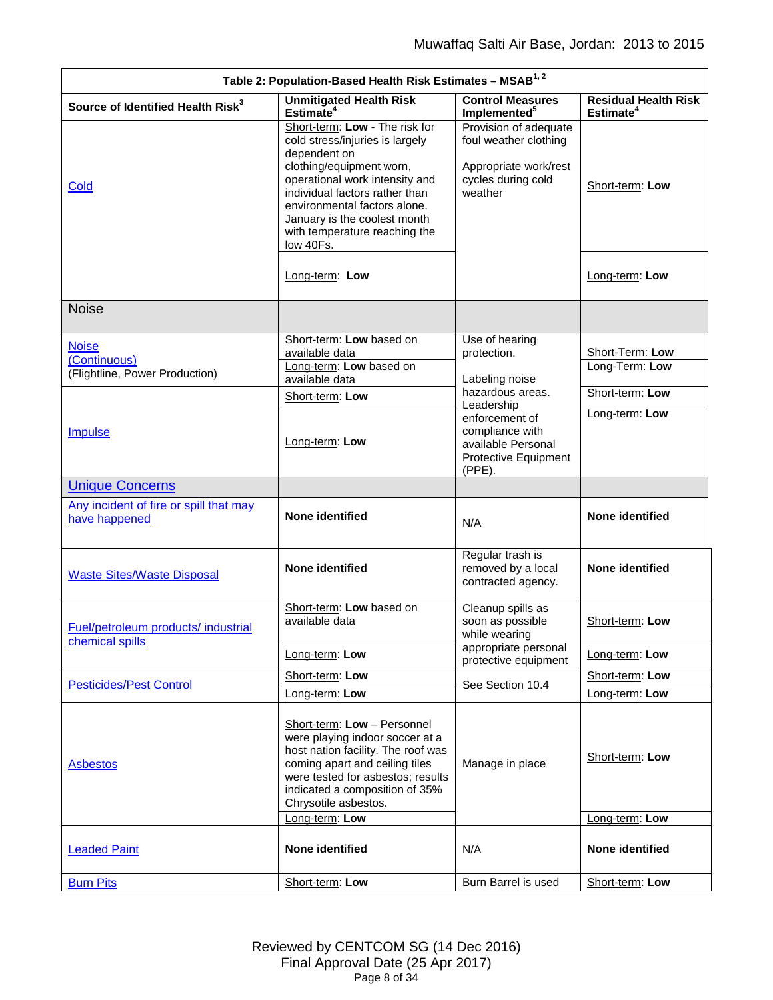<span id="page-7-1"></span><span id="page-7-0"></span>

| Table 2: Population-Based Health Risk Estimates - MSAB <sup>1,2</sup> |                                                                                                                                                                                                                                                                                                                                                                                                             |                                                                                           |                                                      |  |
|-----------------------------------------------------------------------|-------------------------------------------------------------------------------------------------------------------------------------------------------------------------------------------------------------------------------------------------------------------------------------------------------------------------------------------------------------------------------------------------------------|-------------------------------------------------------------------------------------------|------------------------------------------------------|--|
| Source of Identified Health Risk <sup>3</sup>                         | <b>Unmitigated Health Risk</b><br>Estimate <sup>4</sup>                                                                                                                                                                                                                                                                                                                                                     | <b>Control Measures</b><br>Implemented <sup>5</sup>                                       | <b>Residual Health Risk</b><br>Estimate <sup>4</sup> |  |
| <b>Cold</b>                                                           | Short-term: Low - The risk for<br>Provision of adequate<br>foul weather clothing<br>cold stress/injuries is largely<br>dependent on<br>clothing/equipment worn,<br>Appropriate work/rest<br>operational work intensity and<br>cycles during cold<br>individual factors rather than<br>weather<br>environmental factors alone.<br>January is the coolest month<br>with temperature reaching the<br>low 40Fs. |                                                                                           | Short-term: Low                                      |  |
|                                                                       | Long-term: Low                                                                                                                                                                                                                                                                                                                                                                                              |                                                                                           | Long-term: Low                                       |  |
| <b>Noise</b>                                                          |                                                                                                                                                                                                                                                                                                                                                                                                             |                                                                                           |                                                      |  |
| <b>Noise</b>                                                          | Short-term: Low based on                                                                                                                                                                                                                                                                                                                                                                                    | Use of hearing                                                                            |                                                      |  |
| (Continuous)                                                          | available data<br>Long-term: Low based on                                                                                                                                                                                                                                                                                                                                                                   | protection.                                                                               | Short-Term: Low<br>Long-Term: Low                    |  |
| (Flightline, Power Production)                                        | available data                                                                                                                                                                                                                                                                                                                                                                                              | Labeling noise                                                                            |                                                      |  |
|                                                                       | Short-term: Low                                                                                                                                                                                                                                                                                                                                                                                             | hazardous areas.<br>Leadership                                                            | Short-term: Low                                      |  |
| <b>Impulse</b>                                                        | Long-term: Low                                                                                                                                                                                                                                                                                                                                                                                              | enforcement of<br>compliance with<br>available Personal<br>Protective Equipment<br>(PPE). | Long-term: Low                                       |  |
| <b>Unique Concerns</b>                                                |                                                                                                                                                                                                                                                                                                                                                                                                             |                                                                                           |                                                      |  |
| Any incident of fire or spill that may<br>have happened               | None identified                                                                                                                                                                                                                                                                                                                                                                                             | N/A                                                                                       | None identified                                      |  |
| <b>Waste Sites/Waste Disposal</b>                                     | <b>None identified</b>                                                                                                                                                                                                                                                                                                                                                                                      | Regular trash is<br>removed by a local                                                    |                                                      |  |
|                                                                       | None identified<br>contracted agency.<br>Short-term: Low based on<br>Cleanup spills as<br>available data<br>soon as possible<br>Short-term: Low                                                                                                                                                                                                                                                             |                                                                                           |                                                      |  |
| Fuel/petroleum products/ industrial                                   |                                                                                                                                                                                                                                                                                                                                                                                                             | while wearing                                                                             |                                                      |  |
| chemical spills                                                       | Long-term: Low                                                                                                                                                                                                                                                                                                                                                                                              | appropriate personal<br>protective equipment                                              | Long-term: Low                                       |  |
|                                                                       | Short-term: Low                                                                                                                                                                                                                                                                                                                                                                                             | See Section 10.4                                                                          | Short-term: Low                                      |  |
| <b>Pesticides/Pest Control</b>                                        | Long-term: Low                                                                                                                                                                                                                                                                                                                                                                                              |                                                                                           | Long-term: Low                                       |  |
| <b>Asbestos</b>                                                       | Short-term: Low - Personnel<br>were playing indoor soccer at a<br>host nation facility. The roof was<br>coming apart and ceiling tiles<br>were tested for asbestos; results<br>indicated a composition of 35%<br>Chrysotile asbestos.                                                                                                                                                                       | Manage in place                                                                           | Short-term: Low                                      |  |
|                                                                       | Long-term: Low                                                                                                                                                                                                                                                                                                                                                                                              |                                                                                           | Long-term: Low                                       |  |
| <b>Leaded Paint</b><br><b>Burn Pits</b>                               | None identified                                                                                                                                                                                                                                                                                                                                                                                             | N/A<br>Burn Barrel is used                                                                | None identified                                      |  |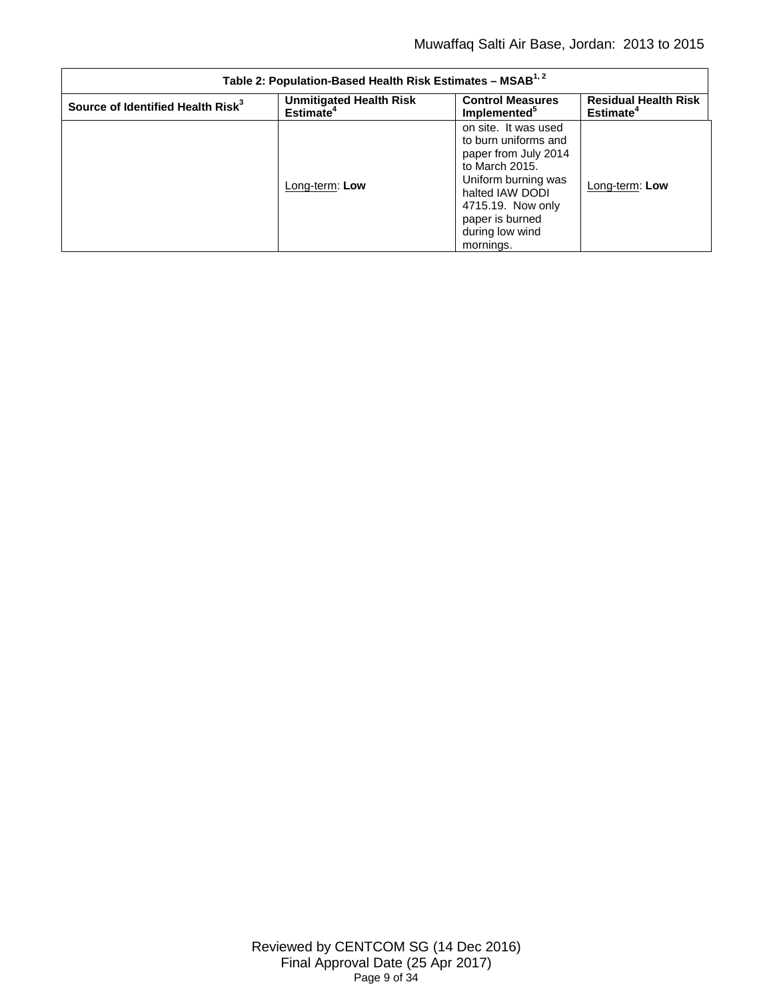| Table 2: Population-Based Health Risk Estimates - MSAB <sup>1,2</sup> |                                                         |                                                                                                                                                                                                          |                                                      |  |
|-----------------------------------------------------------------------|---------------------------------------------------------|----------------------------------------------------------------------------------------------------------------------------------------------------------------------------------------------------------|------------------------------------------------------|--|
| Source of Identified Health Risk <sup>3</sup>                         | <b>Unmitigated Health Risk</b><br>Estimate <sup>4</sup> | <b>Control Measures</b><br>Implemented <sup>3</sup>                                                                                                                                                      | <b>Residual Health Risk</b><br>Estimate <sup>4</sup> |  |
|                                                                       | Long-term: Low                                          | on site. It was used<br>to burn uniforms and<br>paper from July 2014<br>to March 2015.<br>Uniform burning was<br>halted IAW DODI<br>4715.19. Now only<br>paper is burned<br>during low wind<br>mornings. | Long-term: Low                                       |  |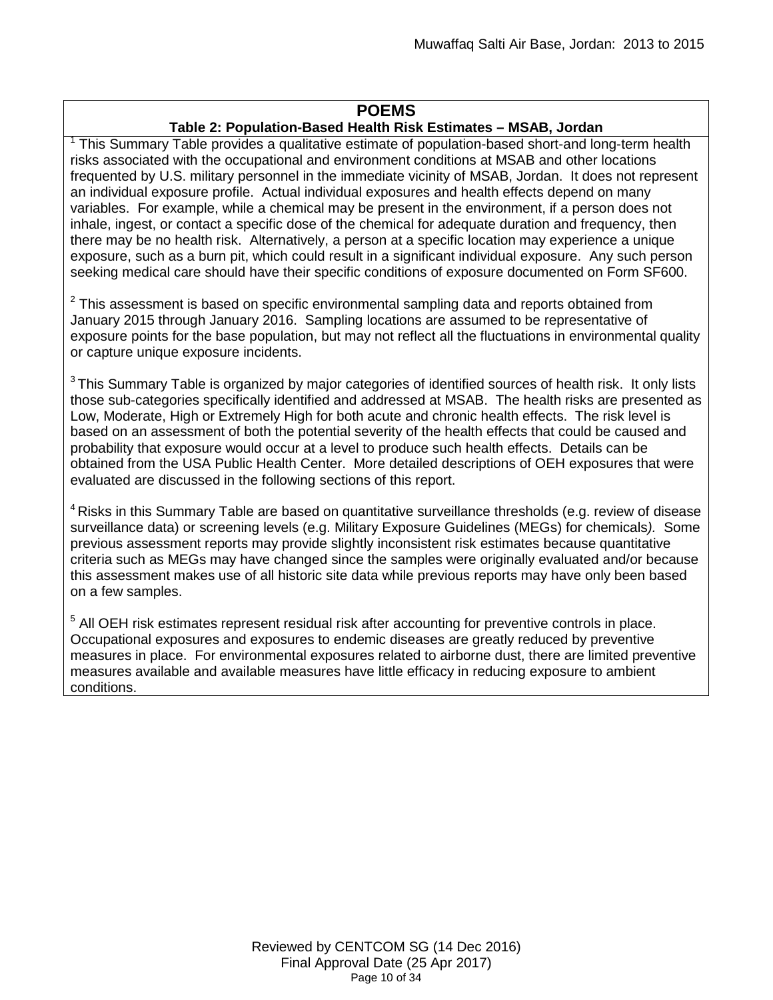## **POEMS**

# **Table 2: Population-Based Health Risk Estimates – MSAB, Jordan**

 $1$  This Summary Table provides a qualitative estimate of population-based short-and long-term health risks associated with the occupational and environment conditions at MSAB and other locations frequented by U.S. military personnel in the immediate vicinity of MSAB, Jordan. It does not represent an individual exposure profile. Actual individual exposures and health effects depend on many variables. For example, while a chemical may be present in the environment, if a person does not inhale, ingest, or contact a specific dose of the chemical for adequate duration and frequency, then there may be no health risk. Alternatively, a person at a specific location may experience a unique exposure, such as a burn pit, which could result in a significant individual exposure. Any such person seeking medical care should have their specific conditions of exposure documented on Form SF600.

 $2$  This assessment is based on specific environmental sampling data and reports obtained from January 2015 through January 2016. Sampling locations are assumed to be representative of exposure points for the base population, but may not reflect all the fluctuations in environmental quality or capture unique exposure incidents.

<sup>3</sup> This Summary Table is organized by major categories of identified sources of health risk. It only lists those sub-categories specifically identified and addressed at MSAB. The health risks are presented as Low, Moderate, High or Extremely High for both acute and chronic health effects. The risk level is based on an assessment of both the potential severity of the health effects that could be caused and probability that exposure would occur at a level to produce such health effects. Details can be obtained from the USA Public Health Center. More detailed descriptions of OEH exposures that were evaluated are discussed in the following sections of this report.

 $4$  Risks in this Summary Table are based on quantitative surveillance thresholds (e.g. review of disease surveillance data) or screening levels (e.g. Military Exposure Guidelines (MEGs) for chemicals*).* Some previous assessment reports may provide slightly inconsistent risk estimates because quantitative criteria such as MEGs may have changed since the samples were originally evaluated and/or because this assessment makes use of all historic site data while previous reports may have only been based on a few samples.

<sup>5</sup> All OEH risk estimates represent residual risk after accounting for preventive controls in place. Occupational exposures and exposures to endemic diseases are greatly reduced by preventive measures in place. For environmental exposures related to airborne dust, there are limited preventive measures available and available measures have little efficacy in reducing exposure to ambient conditions.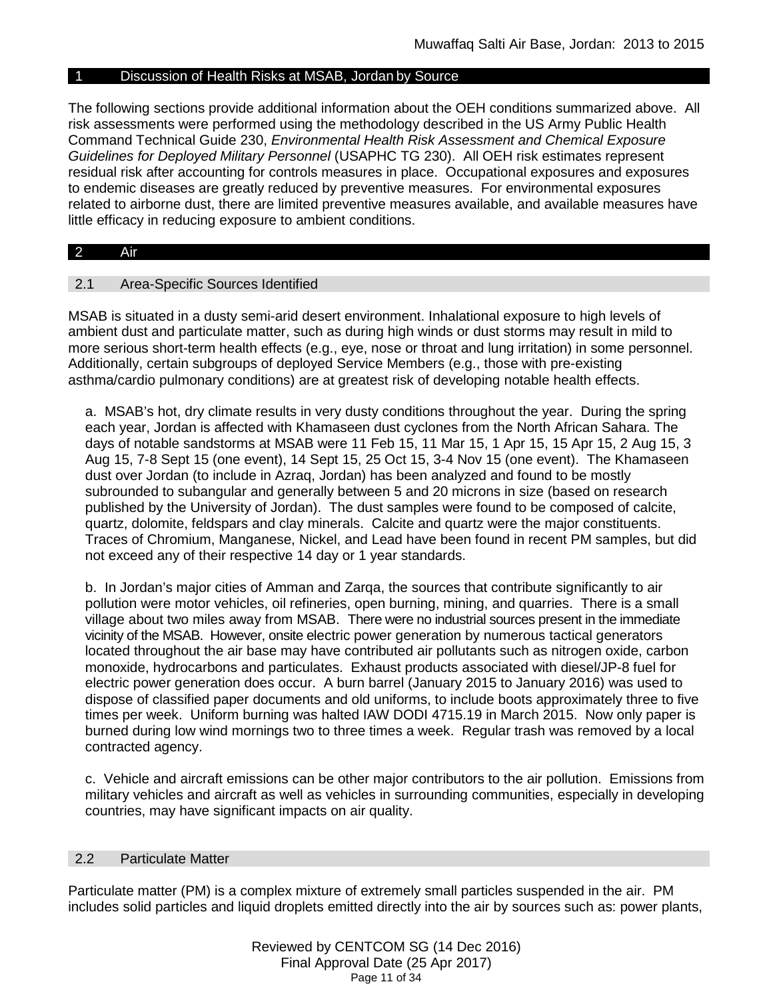## Discussion of Health Risks at MSAB, Jordan by Source

The following sections provide additional information about the OEH conditions summarized above. All risk assessments were performed using the methodology described in the US Army Public Health Command Technical Guide 230, *Environmental Health Risk Assessment and Chemical Exposure Guidelines for Deployed Military Personnel* (USAPHC TG 230). All OEH risk estimates represent residual risk after accounting for controls measures in place. Occupational exposures and exposures to endemic diseases are greatly reduced by preventive measures. For environmental exposures related to airborne dust, there are limited preventive measures available, and available measures have little efficacy in reducing exposure to ambient conditions.

#### <span id="page-10-0"></span>2 Air

#### 2.1 Area-Specific Sources Identified

MSAB is situated in a dusty semi-arid desert environment. Inhalational exposure to high levels of ambient dust and particulate matter, such as during high winds or dust storms may result in mild to more serious short-term health effects (e.g., eye, nose or throat and lung irritation) in some personnel. Additionally, certain subgroups of deployed Service Members (e.g., those with pre-existing asthma/cardio pulmonary conditions) are at greatest risk of developing notable health effects.

a. MSAB's hot, dry climate results in very dusty conditions throughout the year. During the spring each year, Jordan is affected with Khamaseen dust cyclones from the North African Sahara. The days of notable sandstorms at MSAB were 11 Feb 15, 11 Mar 15, 1 Apr 15, 15 Apr 15, 2 Aug 15, 3 Aug 15, 7-8 Sept 15 (one event), 14 Sept 15, 25 Oct 15, 3-4 Nov 15 (one event). The Khamaseen dust over Jordan (to include in Azraq, Jordan) has been analyzed and found to be mostly subrounded to subangular and generally between 5 and 20 microns in size (based on research published by the University of Jordan). The dust samples were found to be composed of calcite, quartz, dolomite, feldspars and clay minerals. Calcite and quartz were the major constituents. Traces of Chromium, Manganese, Nickel, and Lead have been found in recent PM samples, but did not exceed any of their respective 14 day or 1 year standards.

b. In Jordan's major cities of Amman and Zarqa, the sources that contribute significantly to air pollution were motor vehicles, oil refineries, open burning, mining, and quarries. There is a small village about two miles away from MSAB. There were no industrial sources present in the immediate vicinity of the MSAB. However, onsite electric power generation by numerous tactical generators located throughout the air base may have contributed air pollutants such as nitrogen oxide, carbon monoxide, hydrocarbons and particulates. Exhaust products associated with diesel/JP-8 fuel for electric power generation does occur. A burn barrel (January 2015 to January 2016) was used to dispose of classified paper documents and old uniforms, to include boots approximately three to five times per week. Uniform burning was halted IAW DODI 4715.19 in March 2015. Now only paper is burned during low wind mornings two to three times a week. Regular trash was removed by a local contracted agency.

c. Vehicle and aircraft emissions can be other major contributors to the air pollution. Emissions from military vehicles and aircraft as well as vehicles in surrounding communities, especially in developing countries, may have significant impacts on air quality.

#### 2.2 Particulate Matter

Particulate matter (PM) is a complex mixture of extremely small particles suspended in the air. PM includes solid particles and liquid droplets emitted directly into the air by sources such as: power plants,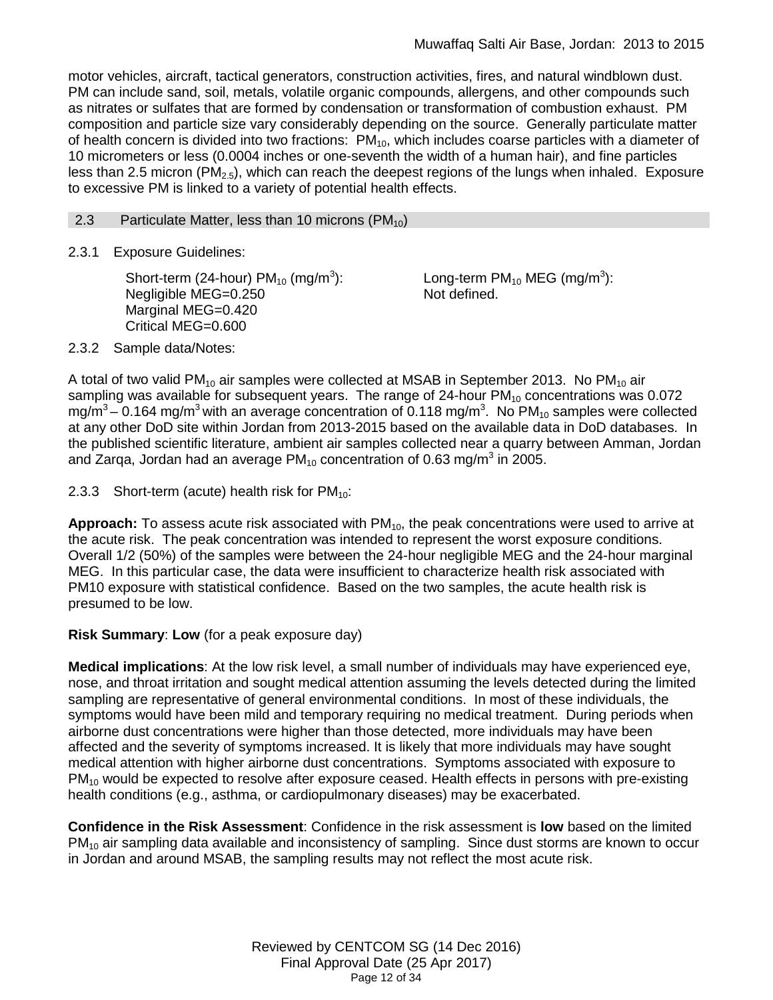motor vehicles, aircraft, tactical generators, construction activities, fires, and natural windblown dust. PM can include sand, soil, metals, volatile organic compounds, allergens, and other compounds such as nitrates or sulfates that are formed by condensation or transformation of combustion exhaust. PM composition and particle size vary considerably depending on the source. Generally particulate matter of health concern is divided into two fractions:  $PM_{10}$ , which includes coarse particles with a diameter of 10 micrometers or less (0.0004 inches or one-seventh the width of a human hair), and fine particles less than 2.5 micron ( $PM_{2.5}$ ), which can reach the deepest regions of the lungs when inhaled. Exposure to excessive PM is linked to a variety of potential health effects.

### 2.3 Particulate Matter, less than 10 microns  $(PM_{10})$

2.3.1 Exposure Guidelines:

<span id="page-11-0"></span>Short-term (24-hour) PM $_{10}$  (mg/m $^3$ ): Negligible MEG=0.250 Marginal MEG=0.420 Critical MEG=0.600

Long-term PM $_{10}$  MEG (mg/m $^3$ ): Not defined.

2.3.2 Sample data/Notes:

A total of two valid PM<sub>10</sub> air samples were collected at MSAB in September 2013. No PM<sub>10</sub> air sampling was available for subsequent years. The range of 24-hour  $PM_{10}$  concentrations was 0.072 mg/m<sup>3</sup> – 0.164 mg/m<sup>3</sup> with an average concentration of 0.118 mg/m<sup>3</sup>. No PM<sub>10</sub> samples were collected at any other DoD site within Jordan from 2013-2015 based on the available data in DoD databases. In the published scientific literature, ambient air samples collected near a quarry between Amman, Jordan and Zarga, Jordan had an average  $PM_{10}$  concentration of 0.63 mg/m<sup>3</sup> in 2005.

2.3.3 Short-term (acute) health risk for  $PM_{10}$ :

Approach: To assess acute risk associated with PM<sub>10</sub>, the peak concentrations were used to arrive at the acute risk. The peak concentration was intended to represent the worst exposure conditions. Overall 1/2 (50%) of the samples were between the 24-hour negligible MEG and the 24-hour marginal MEG. In this particular case, the data were insufficient to characterize health risk associated with PM10 exposure with statistical confidence. Based on the two samples, the acute health risk is presumed to be low.

**Risk Summary**: **Low** (for a peak exposure day)

**Medical implications**: At the low risk level, a small number of individuals may have experienced eye, nose, and throat irritation and sought medical attention assuming the levels detected during the limited sampling are representative of general environmental conditions. In most of these individuals, the symptoms would have been mild and temporary requiring no medical treatment. During periods when airborne dust concentrations were higher than those detected, more individuals may have been affected and the severity of symptoms increased. It is likely that more individuals may have sought medical attention with higher airborne dust concentrations. Symptoms associated with exposure to  $PM_{10}$  would be expected to resolve after exposure ceased. Health effects in persons with pre-existing health conditions (e.g., asthma, or cardiopulmonary diseases) may be exacerbated.

**Confidence in the Risk Assessment**: Confidence in the risk assessment is **low** based on the limited  $PM_{10}$  air sampling data available and inconsistency of sampling. Since dust storms are known to occur in Jordan and around MSAB, the sampling results may not reflect the most acute risk.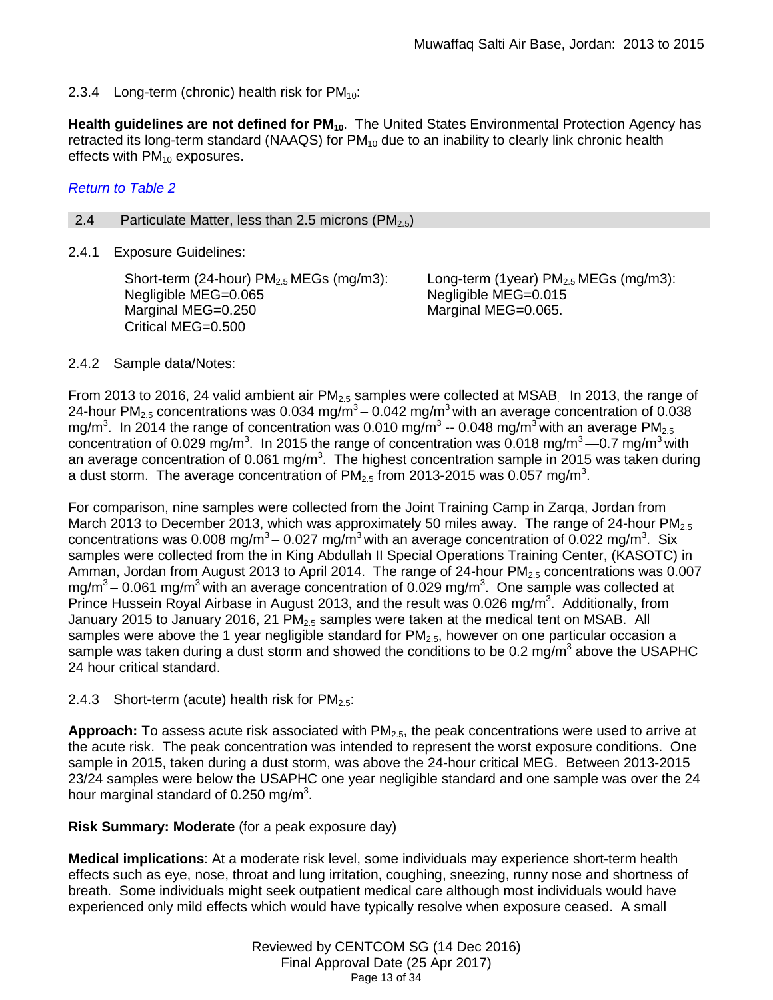2.3.4 Long-term (chronic) health risk for  $PM_{10}$ :

Health guidelines are not defined for PM<sub>10</sub>. The United States Environmental Protection Agency has retracted its long-term standard (NAAQS) for  $PM_{10}$  due to an inability to clearly link chronic health effects with  $PM_{10}$  exposures.

# *[Return to Table 2](#page-3-0)*

<span id="page-12-0"></span>2.4 Particulate Matter, less than 2.5 microns  $(PM_{2.5})$ 

2.4.1 Exposure Guidelines:

Short-term (24-hour)  $PM<sub>2.5</sub> MEGs$  (mg/m3): Negligible MEG=0.065 Marginal MEG=0.250 Critical MEG=0.500

Long-term (1year)  $PM<sub>2.5</sub> MEGs$  (mg/m3): Negligible MEG=0.015 Marginal MEG=0.065.

# 2.4.2 Sample data/Notes:

From 2013 to 2016, 24 valid ambient air  $PM<sub>2.5</sub>$  samples were collected at MSAB. In 2013, the range of 24-hour PM<sub>2.5</sub> concentrations was 0.034 mg/ $\overline{m}^3$  – 0.042 mg/m<sup>3</sup> with an average concentration of 0.038 mg/m<sup>3</sup>. In 2014 the range of concentration was 0.010 mg/m<sup>3</sup> -- 0.048 mg/m<sup>3</sup> with an average PM<sub>2.5</sub> concentration of 0.029 mg/m<sup>3</sup>. In 2015 the range of concentration was 0.018 mg/m<sup>3</sup> —0.7 mg/m<sup>3</sup> with an average concentration of 0.061 mg/m<sup>3</sup>. The highest concentration sample in 2015 was taken during a dust storm. The average concentration of PM<sub>2.5</sub> from 2013-2015 was 0.057 mg/m<sup>3</sup>.

For comparison, nine samples were collected from the Joint Training Camp in Zarqa, Jordan from March 2013 to December 2013, which was approximately 50 miles away. The range of 24-hour  $PM_{2.5}$ concentrations was 0.008 mg/m<sup>3</sup> – 0.027 mg/m<sup>3</sup> with an average concentration of 0.022 mg/m<sup>3</sup>. Six samples were collected from the in King Abdullah II Special Operations Training Center, (KASOTC) in Amman, Jordan from August 2013 to April 2014. The range of 24-hour PM<sub>2.5</sub> concentrations was 0.007 mg/m<sup>3</sup> – 0.061 mg/m<sup>3</sup> with an average concentration of 0.029 mg/m<sup>3</sup>. One sample was collected at Prince Hussein Royal Airbase in August 2013, and the result was 0.026 mg/m<sup>3</sup>. Additionally, from January 2015 to January 2016, 21 PM<sub>2.5</sub> samples were taken at the medical tent on MSAB. All samples were above the 1 year negligible standard for  $PM<sub>2.5</sub>$ , however on one particular occasion a sample was taken during a dust storm and showed the conditions to be 0.2 mg/m<sup>3</sup> above the USAPHC 24 hour critical standard.

2.4.3 Short-term (acute) health risk for  $PM_{2.5}$ :

Approach: To assess acute risk associated with PM<sub>2.5</sub>, the peak concentrations were used to arrive at the acute risk. The peak concentration was intended to represent the worst exposure conditions. One sample in 2015, taken during a dust storm, was above the 24-hour critical MEG. Between 2013-2015 23/24 samples were below the USAPHC one year negligible standard and one sample was over the 24 hour marginal standard of 0.250 mg/m<sup>3</sup>.

**Risk Summary: Moderate** (for a peak exposure day)

**Medical implications**: At a moderate risk level, some individuals may experience short-term health effects such as eye, nose, throat and lung irritation, coughing, sneezing, runny nose and shortness of breath. Some individuals might seek outpatient medical care although most individuals would have experienced only mild effects which would have typically resolve when exposure ceased. A small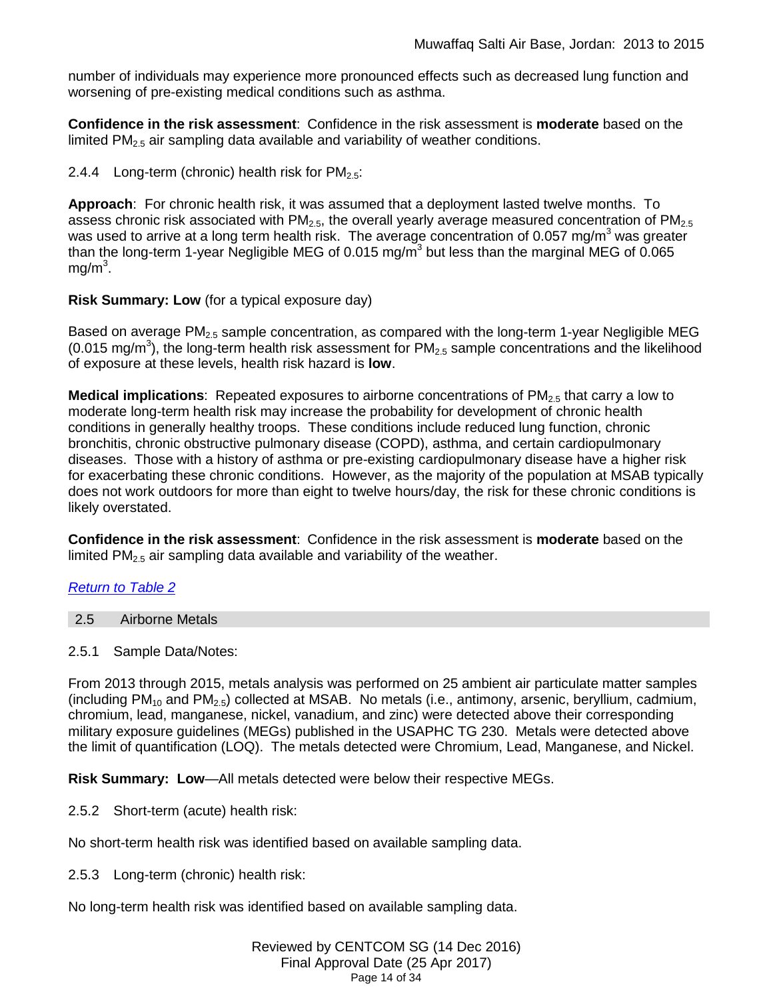number of individuals may experience more pronounced effects such as decreased lung function and worsening of pre-existing medical conditions such as asthma.

**Confidence in the risk assessment**: Confidence in the risk assessment is **moderate** based on the limited PM<sub>2.5</sub> air sampling data available and variability of weather conditions.

2.4.4 Long-term (chronic) health risk for  $PM_{2.5}$ :

**Approach**: For chronic health risk, it was assumed that a deployment lasted twelve months. To assess chronic risk associated with  $PM<sub>2.5</sub>$ , the overall yearly average measured concentration of  $PM<sub>2.5</sub>$ was used to arrive at a long term health risk. The average concentration of 0.057 mg/m<sup>3</sup> was greater than the long-term 1-year Negligible MEG of 0.015 mg/m<sup>3</sup> but less than the marginal MEG of 0.065 mg/m $^3$ .

## **Risk Summary: Low** (for a typical exposure day)

Based on average  $PM_{2.5}$  sample concentration, as compared with the long-term 1-year Negligible MEG (0.015 mg/m<sup>3</sup>), the long-term health risk assessment for  $PM_{2.5}$  sample concentrations and the likelihood of exposure at these levels, health risk hazard is **low**.

**Medical implications**: Repeated exposures to airborne concentrations of PM<sub>2.5</sub> that carry a low to moderate long-term health risk may increase the probability for development of chronic health conditions in generally healthy troops. These conditions include reduced lung function, chronic bronchitis, chronic obstructive pulmonary disease (COPD), asthma, and certain cardiopulmonary diseases. Those with a history of asthma or pre-existing cardiopulmonary disease have a higher risk for exacerbating these chronic conditions. However, as the majority of the population at MSAB typically does not work outdoors for more than eight to twelve hours/day, the risk for these chronic conditions is likely overstated.

**Confidence in the risk assessment**: Confidence in the risk assessment is **moderate** based on the limited  $PM_{2.5}$  air sampling data available and variability of the weather.

# *[Return to Table 2](#page-3-0)*

<span id="page-13-0"></span>

| <b>Airborne Metals</b><br>2.5 |  |
|-------------------------------|--|
|-------------------------------|--|

# 2.5.1 Sample Data/Notes:

From 2013 through 2015, metals analysis was performed on 25 ambient air particulate matter samples (including  $PM_{10}$  and  $PM_{2.5}$ ) collected at MSAB. No metals (i.e., antimony, arsenic, beryllium, cadmium, chromium, lead, manganese, nickel, vanadium, and zinc) were detected above their corresponding military exposure guidelines (MEGs) published in the USAPHC TG 230. Metals were detected above the limit of quantification (LOQ). The metals detected were Chromium, Lead, Manganese, and Nickel.

**Risk Summary: Low**—All metals detected were below their respective MEGs.

2.5.2 Short-term (acute) health risk:

No short-term health risk was identified based on available sampling data.

2.5.3 Long-term (chronic) health risk:

No long-term health risk was identified based on available sampling data.

Reviewed by CENTCOM SG (14 Dec 2016) Final Approval Date (25 Apr 2017) Page 14 of 34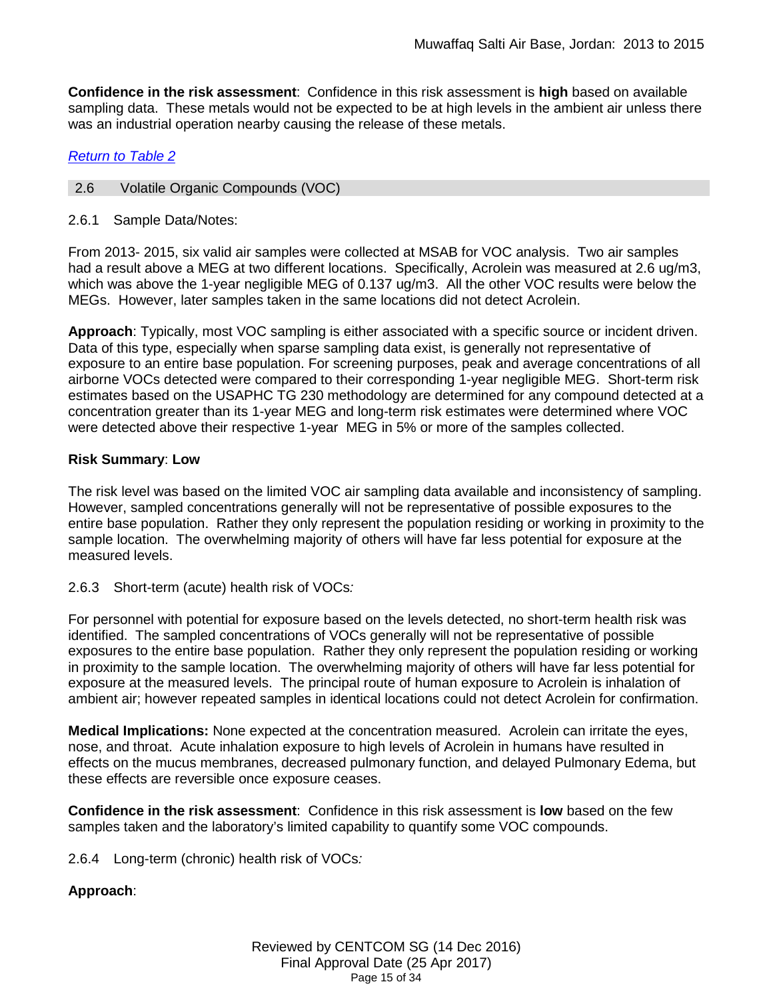**Confidence in the risk assessment**: Confidence in this risk assessment is **high** based on available sampling data. These metals would not be expected to be at high levels in the ambient air unless there was an industrial operation nearby causing the release of these metals.

# *[Return to Table 2](#page-4-0)*

# <span id="page-14-0"></span>2.6 Volatile Organic Compounds (VOC)

2.6.1 Sample Data/Notes:

From 2013- 2015, six valid air samples were collected at MSAB for VOC analysis. Two air samples had a result above a MEG at two different locations. Specifically, Acrolein was measured at 2.6 ug/m3, which was above the 1-year negligible MEG of 0.137 ug/m3. All the other VOC results were below the MEGs. However, later samples taken in the same locations did not detect Acrolein.

**Approach**: Typically, most VOC sampling is either associated with a specific source or incident driven. Data of this type, especially when sparse sampling data exist, is generally not representative of exposure to an entire base population. For screening purposes, peak and average concentrations of all airborne VOCs detected were compared to their corresponding 1-year negligible MEG. Short-term risk estimates based on the USAPHC TG 230 methodology are determined for any compound detected at a concentration greater than its 1-year MEG and long-term risk estimates were determined where VOC were detected above their respective 1-year MEG in 5% or more of the samples collected.

## **Risk Summary**: **Low**

The risk level was based on the limited VOC air sampling data available and inconsistency of sampling. However, sampled concentrations generally will not be representative of possible exposures to the entire base population. Rather they only represent the population residing or working in proximity to the sample location. The overwhelming majority of others will have far less potential for exposure at the measured levels.

# 2.6.3 Short-term (acute) health risk of VOCs*:*

For personnel with potential for exposure based on the levels detected, no short-term health risk was identified. The sampled concentrations of VOCs generally will not be representative of possible exposures to the entire base population. Rather they only represent the population residing or working in proximity to the sample location. The overwhelming majority of others will have far less potential for exposure at the measured levels. The principal route of human exposure to Acrolein is inhalation of ambient air; however repeated samples in identical locations could not detect Acrolein for confirmation.

**Medical Implications:** None expected at the concentration measured. Acrolein can irritate the eyes, nose, and throat. Acute inhalation exposure to high levels of Acrolein in humans have resulted in effects on the mucus membranes, decreased pulmonary function, and delayed Pulmonary Edema, but these effects are reversible once exposure ceases.

**Confidence in the risk assessment**: Confidence in this risk assessment is **low** based on the few samples taken and the laboratory's limited capability to quantify some VOC compounds.

2.6.4 Long-term (chronic) health risk of VOCs*:* 

# **Approach**: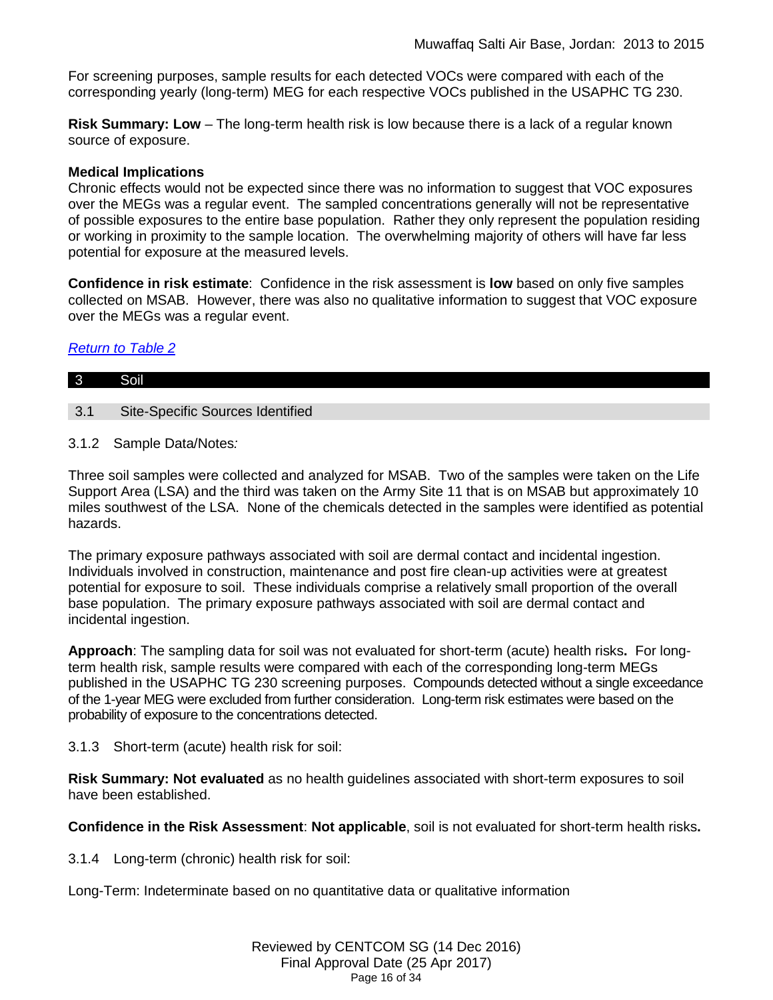For screening purposes, sample results for each detected VOCs were compared with each of the corresponding yearly (long-term) MEG for each respective VOCs published in the USAPHC TG 230.

**Risk Summary: Low** – The long-term health risk is low because there is a lack of a regular known source of exposure.

## **Medical Implications**

Chronic effects would not be expected since there was no information to suggest that VOC exposures over the MEGs was a regular event. The sampled concentrations generally will not be representative of possible exposures to the entire base population. Rather they only represent the population residing or working in proximity to the sample location. The overwhelming majority of others will have far less potential for exposure at the measured levels.

**Confidence in risk estimate**: Confidence in the risk assessment is **low** based on only five samples collected on MSAB. However, there was also no qualitative information to suggest that VOC exposure over the MEGs was a regular event.

# *[Return to Table 2](#page-4-1)*

<span id="page-15-0"></span>

| l 3 | Soil                                    |
|-----|-----------------------------------------|
| 3.1 | <b>Site-Specific Sources Identified</b> |

3.1.2 Sample Data/Notes*:*

Three soil samples were collected and analyzed for MSAB. Two of the samples were taken on the Life Support Area (LSA) and the third was taken on the Army Site 11 that is on MSAB but approximately 10 miles southwest of the LSA. None of the chemicals detected in the samples were identified as potential hazards.

The primary exposure pathways associated with soil are dermal contact and incidental ingestion. Individuals involved in construction, maintenance and post fire clean-up activities were at greatest potential for exposure to soil. These individuals comprise a relatively small proportion of the overall base population. The primary exposure pathways associated with soil are dermal contact and incidental ingestion.

**Approach**: The sampling data for soil was not evaluated for short-term (acute) health risks**.** For longterm health risk, sample results were compared with each of the corresponding long-term MEGs published in the USAPHC TG 230 screening purposes. Compounds detected without a single exceedance of the 1-year MEG were excluded from further consideration. Long-term risk estimates were based on the probability of exposure to the concentrations detected.

3.1.3 Short-term (acute) health risk for soil:

**Risk Summary: Not evaluated** as no health guidelines associated with short-term exposures to soil have been established.

**Confidence in the Risk Assessment**: **Not applicable**, soil is not evaluated for short-term health risks**.**

3.1.4 Long-term (chronic) health risk for soil:

Long-Term: Indeterminate based on no quantitative data or qualitative information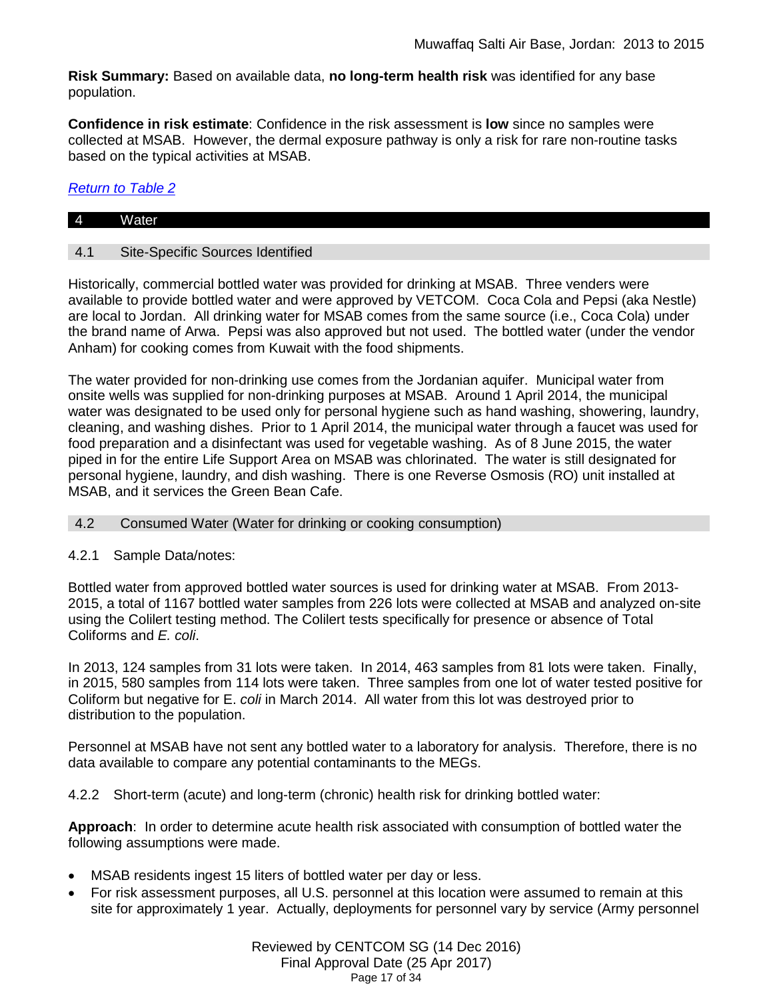**Risk Summary:** Based on available data, **no long-term health risk** was identified for any base population.

**Confidence in risk estimate**: Confidence in the risk assessment is **low** since no samples were collected at MSAB. However, the dermal exposure pathway is only a risk for rare non-routine tasks based on the typical activities at MSAB.

## *[Return to Table 2](#page-4-2)*

# 4 Water

### 4.1 Site-Specific Sources Identified

Historically, commercial bottled water was provided for drinking at MSAB. Three venders were available to provide bottled water and were approved by VETCOM. Coca Cola and Pepsi (aka Nestle) are local to Jordan. All drinking water for MSAB comes from the same source (i.e., Coca Cola) under the brand name of Arwa. Pepsi was also approved but not used. The bottled water (under the vendor Anham) for cooking comes from Kuwait with the food shipments.

The water provided for non-drinking use comes from the Jordanian aquifer. Municipal water from onsite wells was supplied for non-drinking purposes at MSAB. Around 1 April 2014, the municipal water was designated to be used only for personal hygiene such as hand washing, showering, laundry, cleaning, and washing dishes. Prior to 1 April 2014, the municipal water through a faucet was used for food preparation and a disinfectant was used for vegetable washing. As of 8 June 2015, the water piped in for the entire Life Support Area on MSAB was chlorinated. The water is still designated for personal hygiene, laundry, and dish washing. There is one Reverse Osmosis (RO) unit installed at MSAB, and it services the Green Bean Cafe.

<span id="page-16-0"></span>4.2 Consumed Water (Water for drinking or cooking consumption)

#### 4.2.1 Sample Data/notes:

Bottled water from approved bottled water sources is used for drinking water at MSAB. From 2013- 2015, a total of 1167 bottled water samples from 226 lots were collected at MSAB and analyzed on-site using the Colilert testing method. The Colilert tests specifically for presence or absence of Total Coliforms and *E. coli*.

In 2013, 124 samples from 31 lots were taken. In 2014, 463 samples from 81 lots were taken. Finally, in 2015, 580 samples from 114 lots were taken. Three samples from one lot of water tested positive for Coliform but negative for E. *coli* in March 2014. All water from this lot was destroyed prior to distribution to the population.

Personnel at MSAB have not sent any bottled water to a laboratory for analysis. Therefore, there is no data available to compare any potential contaminants to the MEGs.

4.2.2 Short-term (acute) and long-term (chronic) health risk for drinking bottled water:

**Approach**: In order to determine acute health risk associated with consumption of bottled water the following assumptions were made.

- MSAB residents ingest 15 liters of bottled water per day or less.
- For risk assessment purposes, all U.S. personnel at this location were assumed to remain at this site for approximately 1 year. Actually, deployments for personnel vary by service (Army personnel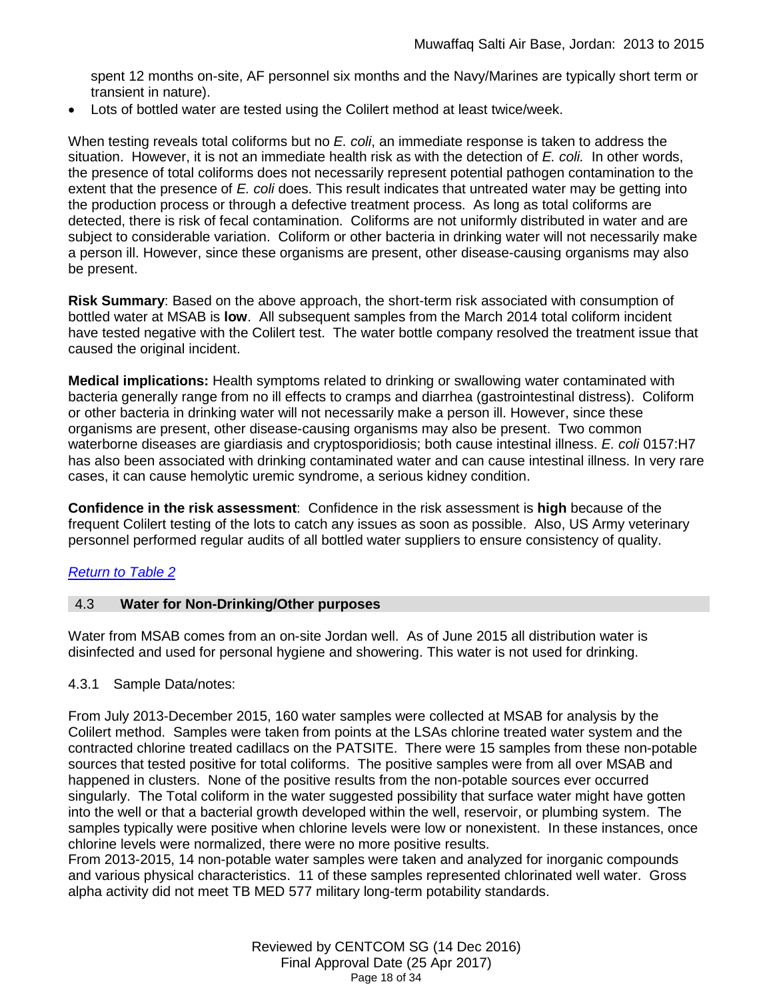spent 12 months on-site, AF personnel six months and the Navy/Marines are typically short term or transient in nature).

• Lots of bottled water are tested using the Colilert method at least twice/week.

When testing reveals total coliforms but no *E. coli*, an immediate response is taken to address the situation. However, it is not an immediate health risk as with the detection of *E. coli.* In other words, the presence of total coliforms does not necessarily represent potential pathogen contamination to the extent that the presence of *E. coli* does. This result indicates that untreated water may be getting into the production process or through a defective treatment process. As long as total coliforms are detected, there is risk of fecal contamination. Coliforms are not uniformly distributed in water and are subject to considerable variation. Coliform or other bacteria in drinking water will not necessarily make a person ill. However, since these organisms are present, other disease-causing organisms may also be present.

**Risk Summary**: Based on the above approach, the short-term risk associated with consumption of bottled water at MSAB is **low**. All subsequent samples from the March 2014 total coliform incident have tested negative with the Colilert test. The water bottle company resolved the treatment issue that caused the original incident.

**Medical implications:** Health symptoms related to drinking or swallowing water contaminated with bacteria generally range from no ill effects to cramps and diarrhea (gastrointestinal distress). Coliform or other bacteria in drinking water will not necessarily make a person ill. However, since these organisms are present, other disease-causing organisms may also be present. Two common waterborne diseases are giardiasis and cryptosporidiosis; both cause intestinal illness. *E. coli* 0157:H7 has also been associated with drinking contaminated water and can cause intestinal illness. In very rare cases, it can cause hemolytic uremic syndrome, a serious kidney condition.

**Confidence in the risk assessment**: Confidence in the risk assessment is **high** because of the frequent Colilert testing of the lots to catch any issues as soon as possible. Also, US Army veterinary personnel performed regular audits of all bottled water suppliers to ensure consistency of quality.

# *[Return to Table 2](#page-4-3)*

# <span id="page-17-0"></span>4.3 **Water for Non-Drinking/Other purposes**

Water from MSAB comes from an on-site Jordan well. As of June 2015 all distribution water is disinfected and used for personal hygiene and showering. This water is not used for drinking.

# 4.3.1 Sample Data/notes:

From July 2013-December 2015, 160 water samples were collected at MSAB for analysis by the Colilert method. Samples were taken from points at the LSAs chlorine treated water system and the contracted chlorine treated cadillacs on the PATSITE. There were 15 samples from these non-potable sources that tested positive for total coliforms. The positive samples were from all over MSAB and happened in clusters. None of the positive results from the non-potable sources ever occurred singularly. The Total coliform in the water suggested possibility that surface water might have gotten into the well or that a bacterial growth developed within the well, reservoir, or plumbing system. The samples typically were positive when chlorine levels were low or nonexistent. In these instances, once chlorine levels were normalized, there were no more positive results.

From 2013-2015, 14 non-potable water samples were taken and analyzed for inorganic compounds and various physical characteristics. 11 of these samples represented chlorinated well water. Gross alpha activity did not meet TB MED 577 military long-term potability standards.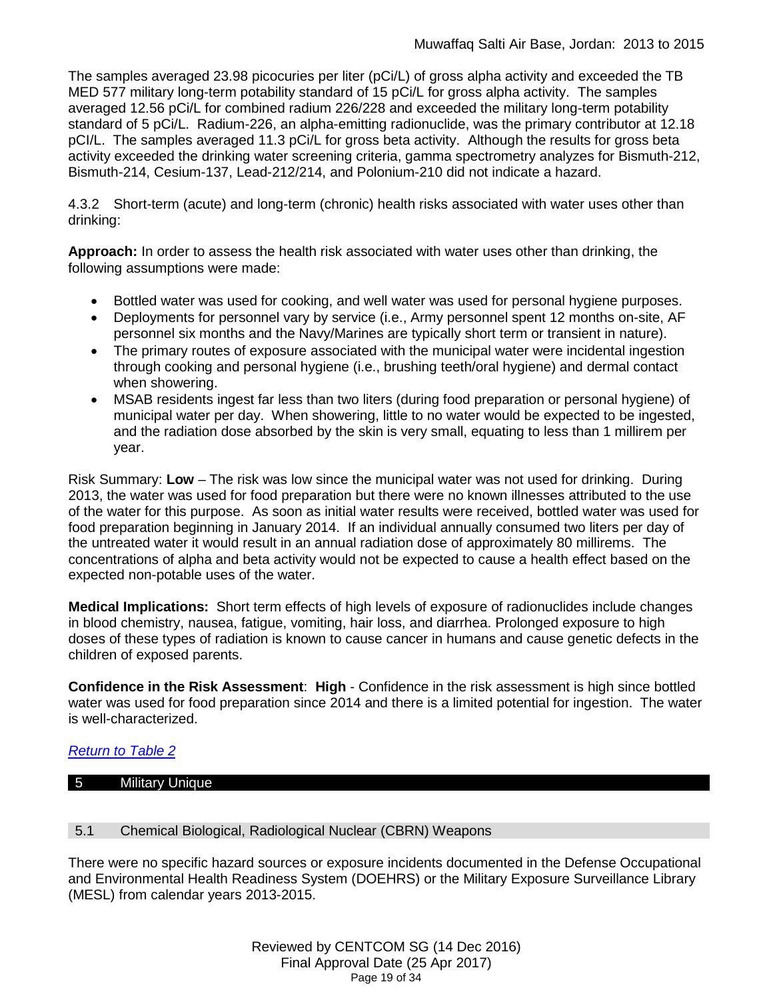The samples averaged 23.98 picocuries per liter (pCi/L) of gross alpha activity and exceeded the TB MED 577 military long-term potability standard of 15 pCi/L for gross alpha activity. The samples averaged 12.56 pCi/L for combined radium 226/228 and exceeded the military long-term potability standard of 5 pCi/L. Radium-226, an alpha-emitting radionuclide, was the primary contributor at 12.18 pCI/L. The samples averaged 11.3 pCi/L for gross beta activity. Although the results for gross beta activity exceeded the drinking water screening criteria, gamma spectrometry analyzes for Bismuth-212, Bismuth-214, Cesium-137, Lead-212/214, and Polonium-210 did not indicate a hazard.

4.3.2 Short-term (acute) and long-term (chronic) health risks associated with water uses other than drinking:

**Approach:** In order to assess the health risk associated with water uses other than drinking, the following assumptions were made:

- Bottled water was used for cooking, and well water was used for personal hygiene purposes.
- Deployments for personnel vary by service (i.e., Army personnel spent 12 months on-site, AF personnel six months and the Navy/Marines are typically short term or transient in nature).
- The primary routes of exposure associated with the municipal water were incidental ingestion through cooking and personal hygiene (i.e., brushing teeth/oral hygiene) and dermal contact when showering.
- MSAB residents ingest far less than two liters (during food preparation or personal hygiene) of municipal water per day. When showering, little to no water would be expected to be ingested, and the radiation dose absorbed by the skin is very small, equating to less than 1 millirem per year.

Risk Summary: **Low** – The risk was low since the municipal water was not used for drinking. During 2013, the water was used for food preparation but there were no known illnesses attributed to the use of the water for this purpose. As soon as initial water results were received, bottled water was used for food preparation beginning in January 2014. If an individual annually consumed two liters per day of the untreated water it would result in an annual radiation dose of approximately 80 millirems. The concentrations of alpha and beta activity would not be expected to cause a health effect based on the expected non-potable uses of the water.

**Medical Implications:** Short term effects of high levels of exposure of radionuclides include changes in blood chemistry, nausea, fatigue, vomiting, hair loss, and diarrhea. Prolonged exposure to high doses of these types of radiation is known to cause cancer in humans and cause genetic defects in the children of exposed parents.

**Confidence in the Risk Assessment**: **High** - Confidence in the risk assessment is high since bottled water was used for food preparation since 2014 and there is a limited potential for ingestion. The water is well-characterized.

# *[Return to Table 2](#page-4-4)*

# <span id="page-18-0"></span>5 Military Unique

# 5.1 Chemical Biological, Radiological Nuclear (CBRN) Weapons

There were no specific hazard sources or exposure incidents documented in the Defense Occupational and Environmental Health Readiness System (DOEHRS) or the Military Exposure Surveillance Library (MESL) from calendar years 2013-2015.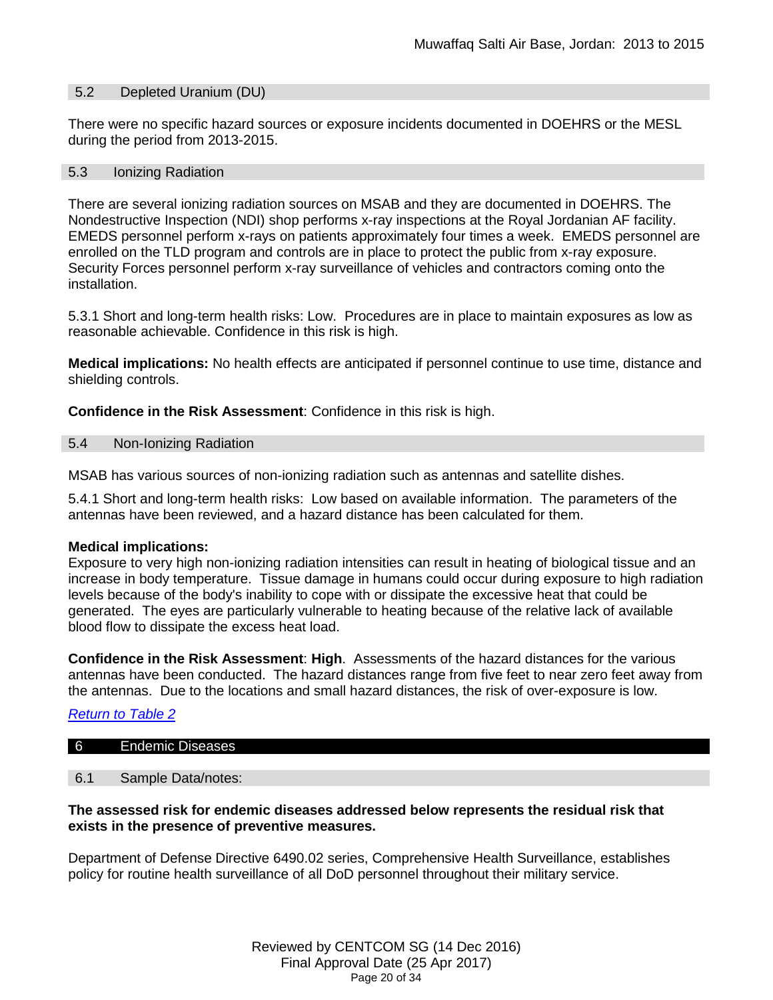#### 5.2 Depleted Uranium (DU)

There were no specific hazard sources or exposure incidents documented in DOEHRS or the MESL during the period from 2013-2015.

#### 5.3 Ionizing Radiation

There are several ionizing radiation sources on MSAB and they are documented in DOEHRS. The Nondestructive Inspection (NDI) shop performs x-ray inspections at the Royal Jordanian AF facility. EMEDS personnel perform x-rays on patients approximately four times a week. EMEDS personnel are enrolled on the TLD program and controls are in place to protect the public from x-ray exposure. Security Forces personnel perform x-ray surveillance of vehicles and contractors coming onto the installation.

5.3.1 Short and long-term health risks: Low. Procedures are in place to maintain exposures as low as reasonable achievable. Confidence in this risk is high.

**Medical implications:** No health effects are anticipated if personnel continue to use time, distance and shielding controls.

**Confidence in the Risk Assessment**: Confidence in this risk is high.

#### 5.4 Non-Ionizing Radiation

MSAB has various sources of non-ionizing radiation such as antennas and satellite dishes.

5.4.1 Short and long-term health risks: Low based on available information. The parameters of the antennas have been reviewed, and a hazard distance has been calculated for them.

#### **Medical implications:**

Exposure to very high non-ionizing radiation intensities can result in heating of biological tissue and an increase in body temperature. Tissue damage in humans could occur during exposure to high radiation levels because of the body's inability to cope with or dissipate the excessive heat that could be generated. The eyes are particularly vulnerable to heating because of the relative lack of available blood flow to dissipate the excess heat load.

**Confidence in the Risk Assessment**: **High**. Assessments of the hazard distances for the various antennas have been conducted. The hazard distances range from five feet to near zero feet away from the antennas. Due to the locations and small hazard distances, the risk of over-exposure is low.

#### *[Return to Table 2](#page-4-5)*

#### 6 Endemic Diseases

### 6.1 Sample Data/notes:

## **The assessed risk for endemic diseases addressed below represents the residual risk that exists in the presence of preventive measures.**

Department of Defense Directive 6490.02 series, Comprehensive Health Surveillance, establishes policy for routine health surveillance of all DoD personnel throughout their military service.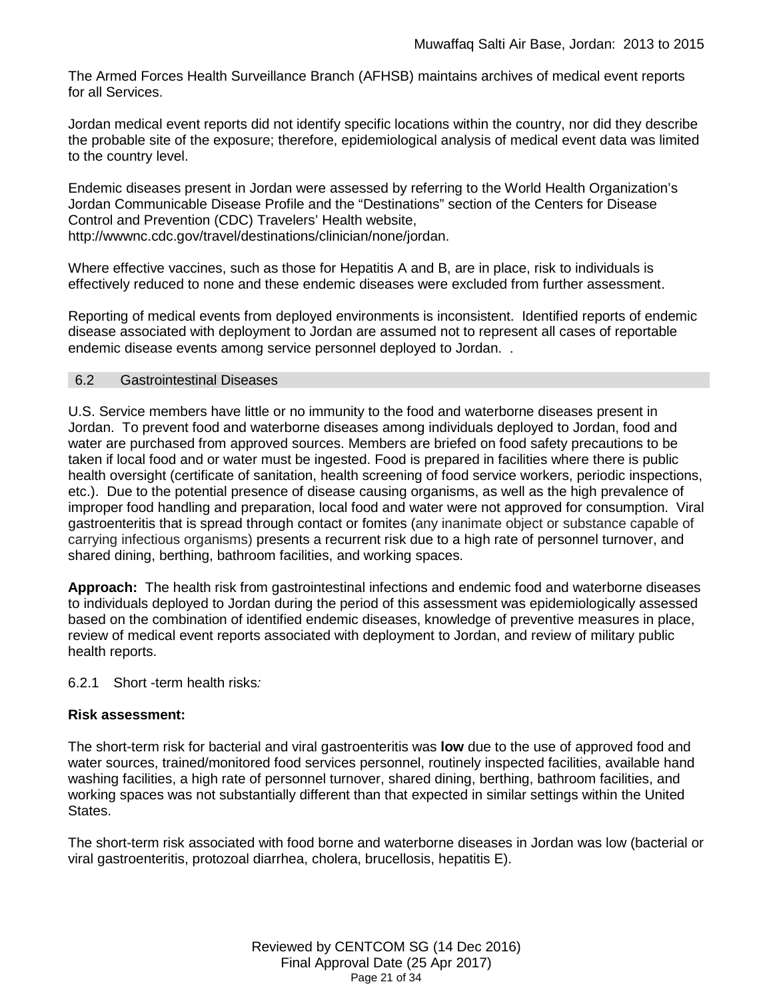The Armed Forces Health Surveillance Branch (AFHSB) maintains archives of medical event reports for all Services.

Jordan medical event reports did not identify specific locations within the country, nor did they describe the probable site of the exposure; therefore, epidemiological analysis of medical event data was limited to the country level.

Endemic diseases present in Jordan were assessed by referring to the World Health Organization's Jordan Communicable Disease Profile and the "Destinations" section of the Centers for Disease Control and Prevention (CDC) Travelers' Health website, http://wwwnc.cdc.gov/travel/destinations/clinician/none/jordan.

Where effective vaccines, such as those for Hepatitis A and B, are in place, risk to individuals is effectively reduced to none and these endemic diseases were excluded from further assessment.

Reporting of medical events from deployed environments is inconsistent. Identified reports of endemic disease associated with deployment to Jordan are assumed not to represent all cases of reportable endemic disease events among service personnel deployed to Jordan. .

#### <span id="page-20-0"></span>6.2 Gastrointestinal Diseases

U.S. Service members have little or no immunity to the food and waterborne diseases present in Jordan. To prevent food and waterborne diseases among individuals deployed to Jordan, food and water are purchased from approved sources. Members are briefed on food safety precautions to be taken if local food and or water must be ingested. Food is prepared in facilities where there is public health oversight (certificate of sanitation, health screening of food service workers, periodic inspections, etc.). Due to the potential presence of disease causing organisms, as well as the high prevalence of improper food handling and preparation, local food and water were not approved for consumption. Viral gastroenteritis that is spread through contact or fomites (any inanimate object or substance capable of carrying infectious organisms) presents a recurrent risk due to a high rate of personnel turnover, and shared dining, berthing, bathroom facilities, and working spaces.

**Approach:** The health risk from gastrointestinal infections and endemic food and waterborne diseases to individuals deployed to Jordan during the period of this assessment was epidemiologically assessed based on the combination of identified endemic diseases, knowledge of preventive measures in place, review of medical event reports associated with deployment to Jordan, and review of military public health reports.

6.2.1 Short -term health risks*:*

#### **Risk assessment:**

The short-term risk for bacterial and viral gastroenteritis was **low** due to the use of approved food and water sources, trained/monitored food services personnel, routinely inspected facilities, available hand washing facilities, a high rate of personnel turnover, shared dining, berthing, bathroom facilities, and working spaces was not substantially different than that expected in similar settings within the United States.

The short-term risk associated with food borne and waterborne diseases in Jordan was low (bacterial or viral gastroenteritis, protozoal diarrhea, cholera, brucellosis, hepatitis E).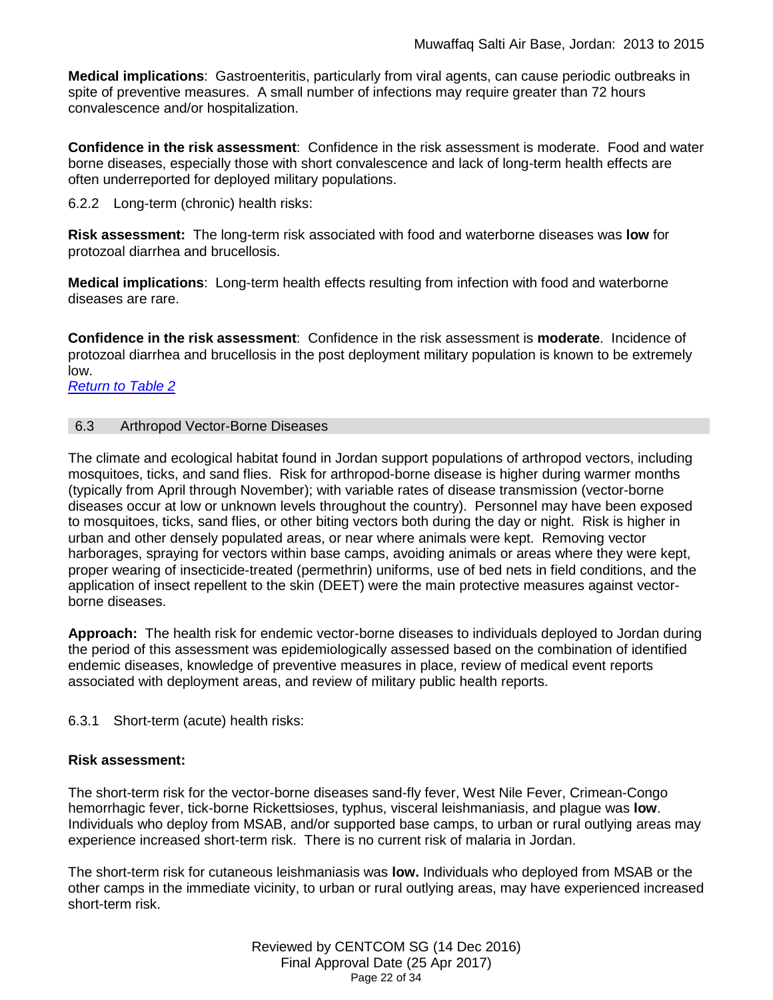**Medical implications**: Gastroenteritis, particularly from viral agents, can cause periodic outbreaks in spite of preventive measures. A small number of infections may require greater than 72 hours convalescence and/or hospitalization.

**Confidence in the risk assessment**: Confidence in the risk assessment is moderate. Food and water borne diseases, especially those with short convalescence and lack of long-term health effects are often underreported for deployed military populations.

6.2.2 Long-term (chronic) health risks:

**Risk assessment:** The long-term risk associated with food and waterborne diseases was **low** for protozoal diarrhea and brucellosis.

**Medical implications**: Long-term health effects resulting from infection with food and waterborne diseases are rare.

**Confidence in the risk assessment**: Confidence in the risk assessment is **moderate**. Incidence of protozoal diarrhea and brucellosis in the post deployment military population is known to be extremely low.

*[Return to Table 2](#page-5-0)*

## <span id="page-21-0"></span>6.3 Arthropod Vector-Borne Diseases

The climate and ecological habitat found in Jordan support populations of arthropod vectors, including mosquitoes, ticks, and sand flies. Risk for arthropod-borne disease is higher during warmer months (typically from April through November); with variable rates of disease transmission (vector-borne diseases occur at low or unknown levels throughout the country). Personnel may have been exposed to mosquitoes, ticks, sand flies, or other biting vectors both during the day or night. Risk is higher in urban and other densely populated areas, or near where animals were kept. Removing vector harborages, spraying for vectors within base camps, avoiding animals or areas where they were kept, proper wearing of insecticide-treated (permethrin) uniforms, use of bed nets in field conditions, and the application of insect repellent to the skin (DEET) were the main protective measures against vectorborne diseases.

**Approach:** The health risk for endemic vector-borne diseases to individuals deployed to Jordan during the period of this assessment was epidemiologically assessed based on the combination of identified endemic diseases, knowledge of preventive measures in place, review of medical event reports associated with deployment areas, and review of military public health reports.

6.3.1 Short-term (acute) health risks:

# **Risk assessment:**

The short-term risk for the vector-borne diseases sand-fly fever, West Nile Fever, Crimean-Congo hemorrhagic fever, tick-borne Rickettsioses, typhus, visceral leishmaniasis, and plague was **low**. Individuals who deploy from MSAB, and/or supported base camps, to urban or rural outlying areas may experience increased short-term risk. There is no current risk of malaria in Jordan.

The short-term risk for cutaneous leishmaniasis was **low.** Individuals who deployed from MSAB or the other camps in the immediate vicinity, to urban or rural outlying areas, may have experienced increased short-term risk.

> Reviewed by CENTCOM SG (14 Dec 2016) Final Approval Date (25 Apr 2017) Page 22 of 34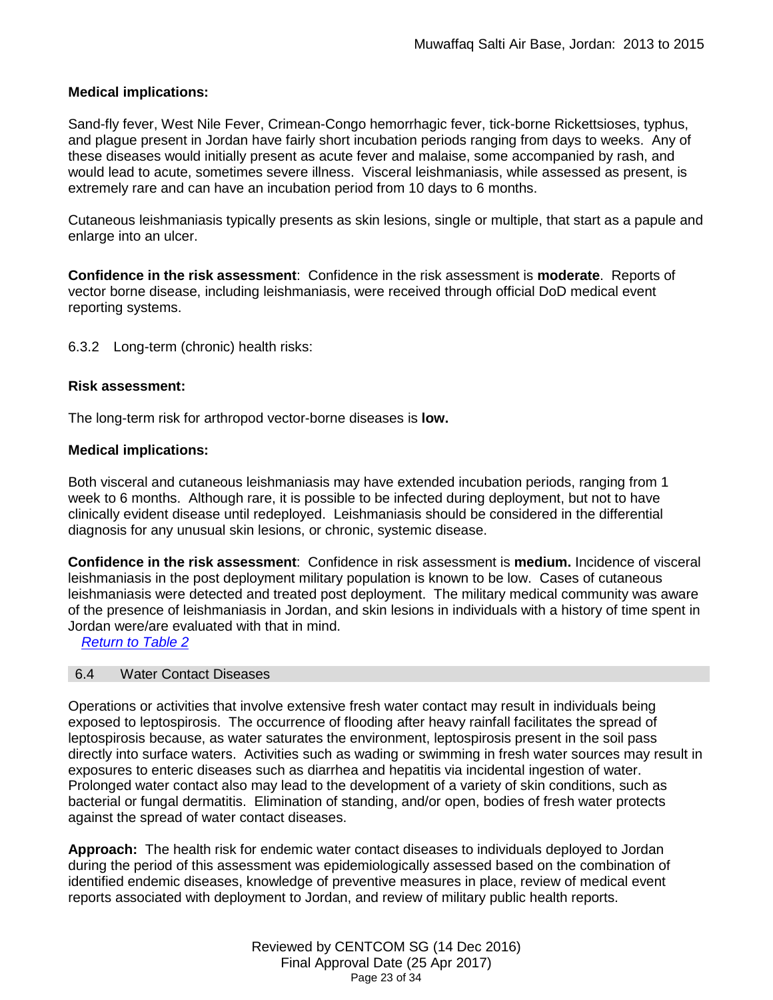# **Medical implications:**

Sand-fly fever, West Nile Fever, Crimean-Congo hemorrhagic fever, tick-borne Rickettsioses, typhus, and plague present in Jordan have fairly short incubation periods ranging from days to weeks. Any of these diseases would initially present as acute fever and malaise, some accompanied by rash, and would lead to acute, sometimes severe illness. Visceral leishmaniasis, while assessed as present, is extremely rare and can have an incubation period from 10 days to 6 months.

Cutaneous leishmaniasis typically presents as skin lesions, single or multiple, that start as a papule and enlarge into an ulcer.

**Confidence in the risk assessment**: Confidence in the risk assessment is **moderate**. Reports of vector borne disease, including leishmaniasis, were received through official DoD medical event reporting systems.

6.3.2 Long-term (chronic) health risks:

# **Risk assessment:**

The long-term risk for arthropod vector-borne diseases is **low.**

# **Medical implications:**

Both visceral and cutaneous leishmaniasis may have extended incubation periods, ranging from 1 week to 6 months. Although rare, it is possible to be infected during deployment, but not to have clinically evident disease until redeployed. Leishmaniasis should be considered in the differential diagnosis for any unusual skin lesions, or chronic, systemic disease.

**Confidence in the risk assessment**: Confidence in risk assessment is **medium.** Incidence of visceral leishmaniasis in the post deployment military population is known to be low. Cases of cutaneous leishmaniasis were detected and treated post deployment. The military medical community was aware of the presence of leishmaniasis in Jordan, and skin lesions in individuals with a history of time spent in Jordan were/are evaluated with that in mind.

<span id="page-22-0"></span>*Return to Table 2*

# 6.4 Water Contact Diseases

Operations or activities that involve extensive fresh water contact may result in individuals being exposed to leptospirosis. The occurrence of flooding after heavy rainfall facilitates the spread of leptospirosis because, as water saturates the environment, leptospirosis present in the soil pass directly into surface waters. Activities such as wading or swimming in fresh water sources may result in exposures to enteric diseases such as diarrhea and hepatitis via incidental ingestion of water. Prolonged water contact also may lead to the development of a variety of skin conditions, such as bacterial or fungal dermatitis. Elimination of standing, and/or open, bodies of fresh water protects against the spread of water contact diseases.

**Approach:** The health risk for endemic water contact diseases to individuals deployed to Jordan during the period of this assessment was epidemiologically assessed based on the combination of identified endemic diseases, knowledge of preventive measures in place, review of medical event reports associated with deployment to Jordan, and review of military public health reports.

> Reviewed by CENTCOM SG (14 Dec 2016) Final Approval Date (25 Apr 2017) Page 23 of 34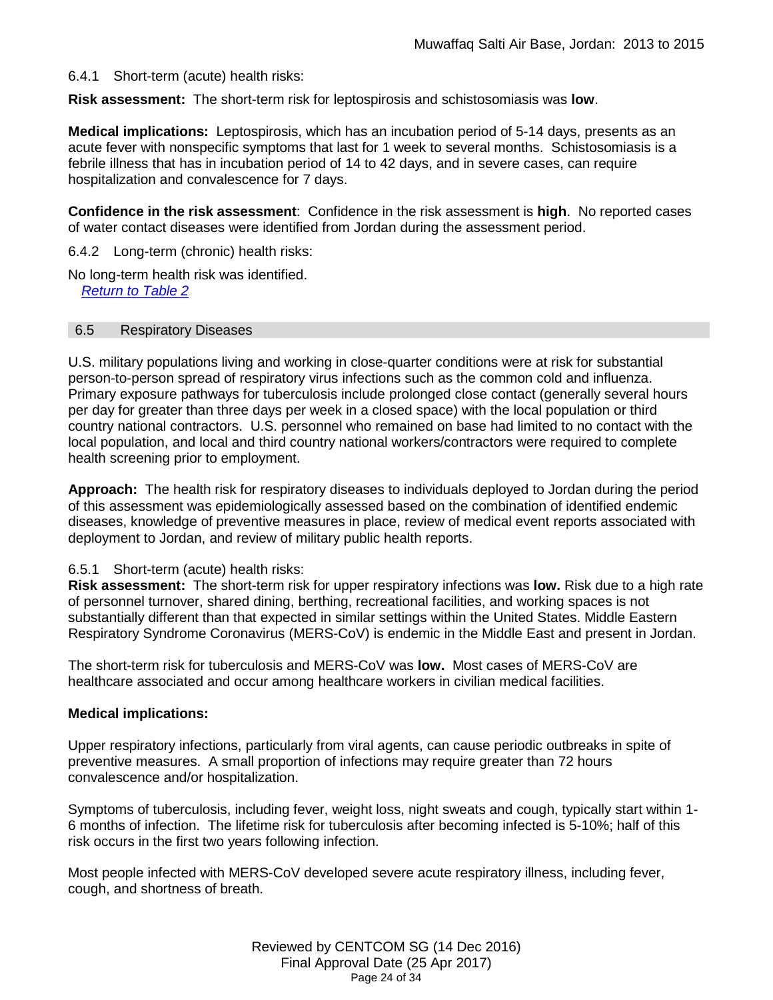## 6.4.1 Short-term (acute) health risks:

**Risk assessment:** The short-term risk for leptospirosis and schistosomiasis was **low**.

**Medical implications:** Leptospirosis, which has an incubation period of 5-14 days, presents as an acute fever with nonspecific symptoms that last for 1 week to several months. Schistosomiasis is a febrile illness that has in incubation period of 14 to 42 days, and in severe cases, can require hospitalization and convalescence for 7 days.

**Confidence in the risk assessment**: Confidence in the risk assessment is **high**. No reported cases of water contact diseases were identified from Jordan during the assessment period.

6.4.2 Long-term (chronic) health risks:

No long-term health risk was identified. *[Return to Table 2](#page-5-1)*

#### <span id="page-23-0"></span>6.5 Respiratory Diseases

U.S. military populations living and working in close-quarter conditions were at risk for substantial person-to-person spread of respiratory virus infections such as the common cold and influenza. Primary exposure pathways for tuberculosis include prolonged close contact (generally several hours per day for greater than three days per week in a closed space) with the local population or third country national contractors. U.S. personnel who remained on base had limited to no contact with the local population, and local and third country national workers/contractors were required to complete health screening prior to employment.

**Approach:** The health risk for respiratory diseases to individuals deployed to Jordan during the period of this assessment was epidemiologically assessed based on the combination of identified endemic diseases, knowledge of preventive measures in place, review of medical event reports associated with deployment to Jordan, and review of military public health reports.

#### 6.5.1 Short-term (acute) health risks:

**Risk assessment:** The short-term risk for upper respiratory infections was **low.** Risk due to a high rate of personnel turnover, shared dining, berthing, recreational facilities, and working spaces is not substantially different than that expected in similar settings within the United States. Middle Eastern Respiratory Syndrome Coronavirus (MERS-CoV) is endemic in the Middle East and present in Jordan.

The short-term risk for tuberculosis and MERS-CoV was **low.** Most cases of MERS-CoV are healthcare associated and occur among healthcare workers in civilian medical facilities.

#### **Medical implications:**

Upper respiratory infections, particularly from viral agents, can cause periodic outbreaks in spite of preventive measures. A small proportion of infections may require greater than 72 hours convalescence and/or hospitalization.

Symptoms of tuberculosis, including fever, weight loss, night sweats and cough, typically start within 1- 6 months of infection. The lifetime risk for tuberculosis after becoming infected is 5-10%; half of this risk occurs in the first two years following infection.

Most people infected with MERS-CoV developed severe acute respiratory illness, including fever, cough, and shortness of breath.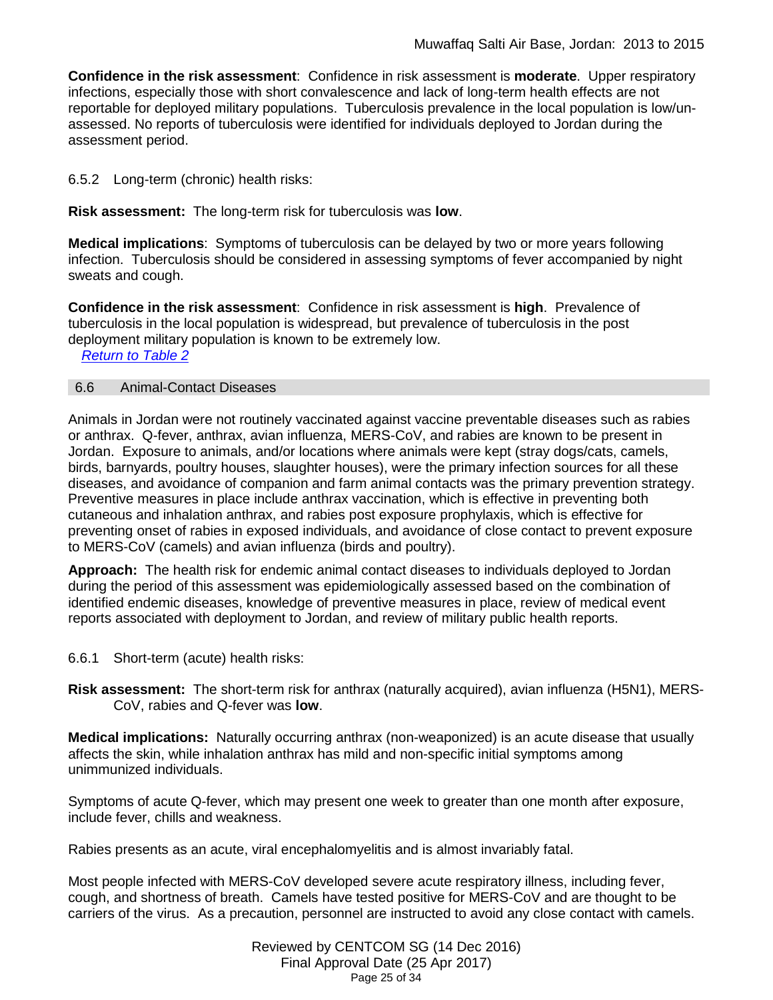**Confidence in the risk assessment**: Confidence in risk assessment is **moderate**. Upper respiratory infections, especially those with short convalescence and lack of long-term health effects are not reportable for deployed military populations. Tuberculosis prevalence in the local population is low/unassessed. No reports of tuberculosis were identified for individuals deployed to Jordan during the assessment period.

6.5.2 Long-term (chronic) health risks:

**Risk assessment:** The long-term risk for tuberculosis was **low**.

**Medical implications**: Symptoms of tuberculosis can be delayed by two or more years following infection. Tuberculosis should be considered in assessing symptoms of fever accompanied by night sweats and cough.

**Confidence in the risk assessment**: Confidence in risk assessment is **high**. Prevalence of tuberculosis in the local population is widespread, but prevalence of tuberculosis in the post deployment military population is known to be extremely low.

<span id="page-24-0"></span>*[Return to Table 2](#page-6-0)*

#### 6.6 Animal-Contact Diseases

Animals in Jordan were not routinely vaccinated against vaccine preventable diseases such as rabies or anthrax. Q-fever, anthrax, avian influenza, MERS-CoV, and rabies are known to be present in Jordan. Exposure to animals, and/or locations where animals were kept (stray dogs/cats, camels, birds, barnyards, poultry houses, slaughter houses), were the primary infection sources for all these diseases, and avoidance of companion and farm animal contacts was the primary prevention strategy. Preventive measures in place include anthrax vaccination, which is effective in preventing both cutaneous and inhalation anthrax, and rabies post exposure prophylaxis, which is effective for preventing onset of rabies in exposed individuals, and avoidance of close contact to prevent exposure to MERS-CoV (camels) and avian influenza (birds and poultry).

**Approach:** The health risk for endemic animal contact diseases to individuals deployed to Jordan during the period of this assessment was epidemiologically assessed based on the combination of identified endemic diseases, knowledge of preventive measures in place, review of medical event reports associated with deployment to Jordan, and review of military public health reports.

- 6.6.1 Short-term (acute) health risks:
- **Risk assessment:** The short-term risk for anthrax (naturally acquired), avian influenza (H5N1), MERS-CoV, rabies and Q-fever was **low**.

**Medical implications:** Naturally occurring anthrax (non-weaponized) is an acute disease that usually affects the skin, while inhalation anthrax has mild and non-specific initial symptoms among unimmunized individuals.

Symptoms of acute Q-fever, which may present one week to greater than one month after exposure, include fever, chills and weakness.

Rabies presents as an acute, viral encephalomyelitis and is almost invariably fatal.

Most people infected with MERS-CoV developed severe acute respiratory illness, including fever, cough, and shortness of breath. Camels have tested positive for MERS-CoV and are thought to be carriers of the virus. As a precaution, personnel are instructed to avoid any close contact with camels.

> Reviewed by CENTCOM SG (14 Dec 2016) Final Approval Date (25 Apr 2017) Page 25 of 34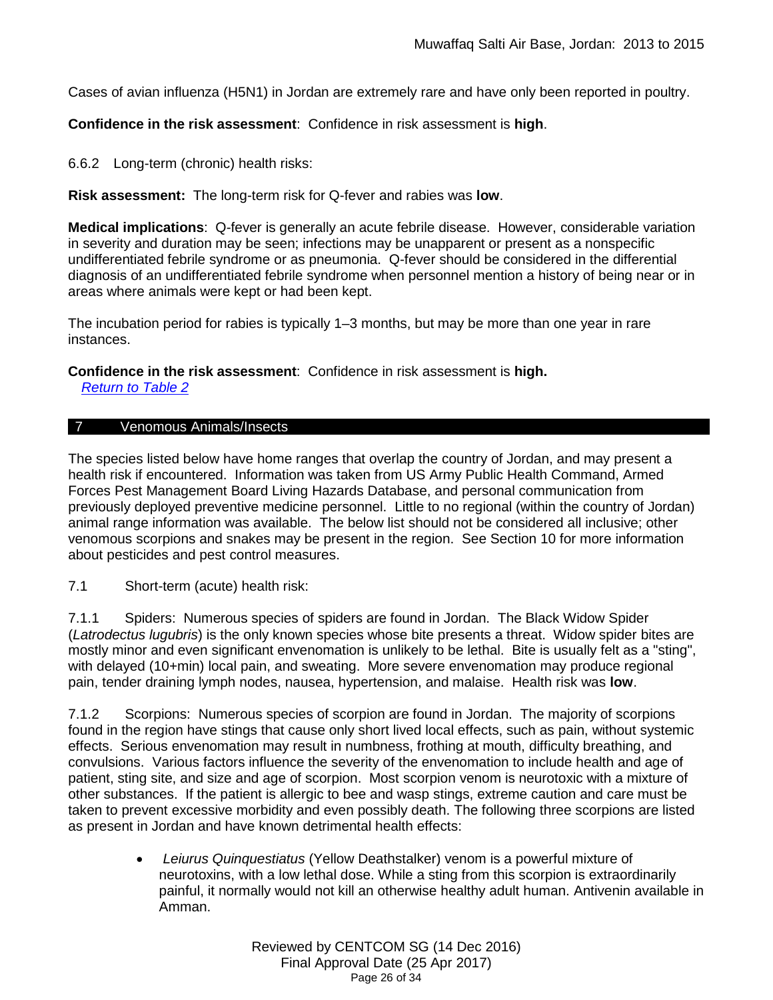Cases of avian influenza (H5N1) in Jordan are extremely rare and have only been reported in poultry.

**Confidence in the risk assessment**: Confidence in risk assessment is **high**.

6.6.2 Long-term (chronic) health risks:

**Risk assessment:** The long-term risk for Q-fever and rabies was **low**.

**Medical implications**: Q-fever is generally an acute febrile disease. However, considerable variation in severity and duration may be seen; infections may be unapparent or present as a nonspecific undifferentiated febrile syndrome or as pneumonia. Q-fever should be considered in the differential diagnosis of an undifferentiated febrile syndrome when personnel mention a history of being near or in areas where animals were kept or had been kept.

The incubation period for rabies is typically 1–3 months, but may be more than one year in rare instances.

**Confidence in the risk assessment**: Confidence in risk assessment is **high.** *[Return to Table 2](#page-6-1)*

# <span id="page-25-0"></span>7 Venomous Animals/Insects

The species listed below have home ranges that overlap the country of Jordan, and may present a health risk if encountered. Information was taken from US Army Public Health Command, Armed Forces Pest Management Board Living Hazards Database, and personal communication from previously deployed preventive medicine personnel. Little to no regional (within the country of Jordan) animal range information was available. The below list should not be considered all inclusive; other venomous scorpions and snakes may be present in the region. See Section 10 for more information about pesticides and pest control measures.

7.1 Short-term (acute) health risk:

7.1.1 Spiders: Numerous species of spiders are found in Jordan. The Black Widow Spider (*Latrodectus lugubris*) is the only known species whose bite presents a threat. Widow spider bites are mostly minor and even significant envenomation is unlikely to be lethal. Bite is usually felt as a "sting", with delayed (10+min) local pain, and sweating. More severe envenomation may produce regional pain, tender draining lymph nodes, nausea, hypertension, and malaise. Health risk was **low**.

7.1.2 Scorpions: Numerous species of scorpion are found in Jordan. The majority of scorpions found in the region have stings that cause only short lived local effects, such as pain, without systemic effects. Serious envenomation may result in numbness, frothing at mouth, difficulty breathing, and convulsions. Various factors influence the severity of the envenomation to include health and age of patient, sting site, and size and age of scorpion. Most scorpion venom is neurotoxic with a mixture of other substances. If the patient is allergic to bee and wasp stings, extreme caution and care must be taken to prevent excessive morbidity and even possibly death. The following three scorpions are listed as present in Jordan and have known detrimental health effects:

> • *Leiurus Quinquestiatus* (Yellow Deathstalker) venom is a powerful mixture of neurotoxins, with a low lethal dose. While a sting from this scorpion is extraordinarily painful, it normally would not kill an otherwise healthy adult human. Antivenin available in Amman.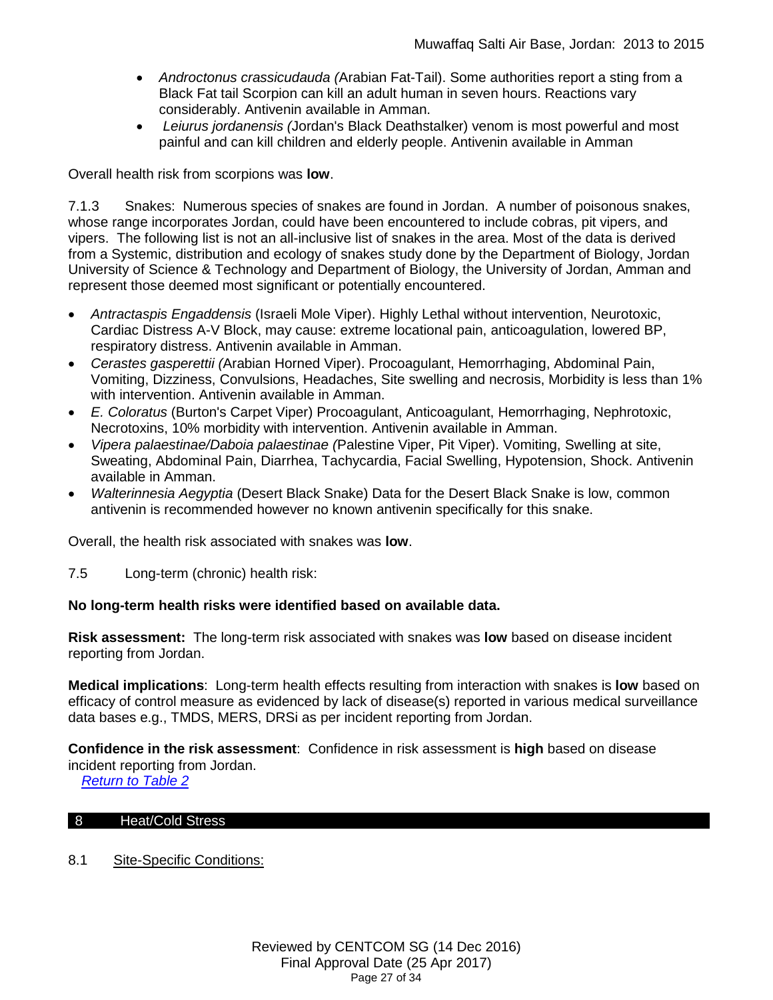- *Androctonus crassicudauda (*Arabian Fat-Tail). Some authorities report a sting from a Black Fat tail Scorpion can kill an adult human in seven hours. Reactions vary considerably. Antivenin available in Amman.
- *Leiurus jordanensis (*Jordan's Black Deathstalker) venom is most powerful and most painful and can kill children and elderly people. Antivenin available in Amman

Overall health risk from scorpions was **low**.

7.1.3 Snakes: Numerous species of snakes are found in Jordan. A number of poisonous snakes, whose range incorporates Jordan, could have been encountered to include cobras, pit vipers, and vipers. The following list is not an all-inclusive list of snakes in the area. Most of the data is derived from a Systemic, distribution and ecology of snakes study done by the Department of Biology, Jordan University of Science & Technology and Department of Biology, the University of Jordan, Amman and represent those deemed most significant or potentially encountered.

- *Antractaspis Engaddensis* (Israeli Mole Viper). Highly Lethal without intervention, Neurotoxic, Cardiac Distress A-V Block, may cause: extreme locational pain, anticoagulation, lowered BP, respiratory distress. Antivenin available in Amman.
- *Cerastes gasperettii (*Arabian Horned Viper). Procoagulant, Hemorrhaging, Abdominal Pain, Vomiting, Dizziness, Convulsions, Headaches, Site swelling and necrosis, Morbidity is less than 1% with intervention. Antivenin available in Amman.
- *E. Coloratus* (Burton's Carpet Viper) Procoagulant, Anticoagulant, Hemorrhaging, Nephrotoxic, Necrotoxins, 10% morbidity with intervention. Antivenin available in Amman.
- *Vipera palaestinae/Daboia palaestinae (*Palestine Viper, Pit Viper). Vomiting, Swelling at site, Sweating, Abdominal Pain, Diarrhea, Tachycardia, Facial Swelling, Hypotension, Shock. Antivenin available in Amman.
- *Walterinnesia Aegyptia* (Desert Black Snake) Data for the Desert Black Snake is low, common antivenin is recommended however no known antivenin specifically for this snake.

Overall, the health risk associated with snakes was **low**.

7.5 Long-term (chronic) health risk:

#### **No long-term health risks were identified based on available data.**

**Risk assessment:** The long-term risk associated with snakes was **low** based on disease incident reporting from Jordan.

**Medical implications**: Long-term health effects resulting from interaction with snakes is **low** based on efficacy of control measure as evidenced by lack of disease(s) reported in various medical surveillance data bases e.g., TMDS, MERS, DRSi as per incident reporting from Jordan.

**Confidence in the risk assessment**: Confidence in risk assessment is **high** based on disease incident reporting from Jordan.

*[Return to Table 2](#page-6-2)*

#### <span id="page-26-0"></span>8 Heat/Cold Stress

8.1 Site-Specific Conditions: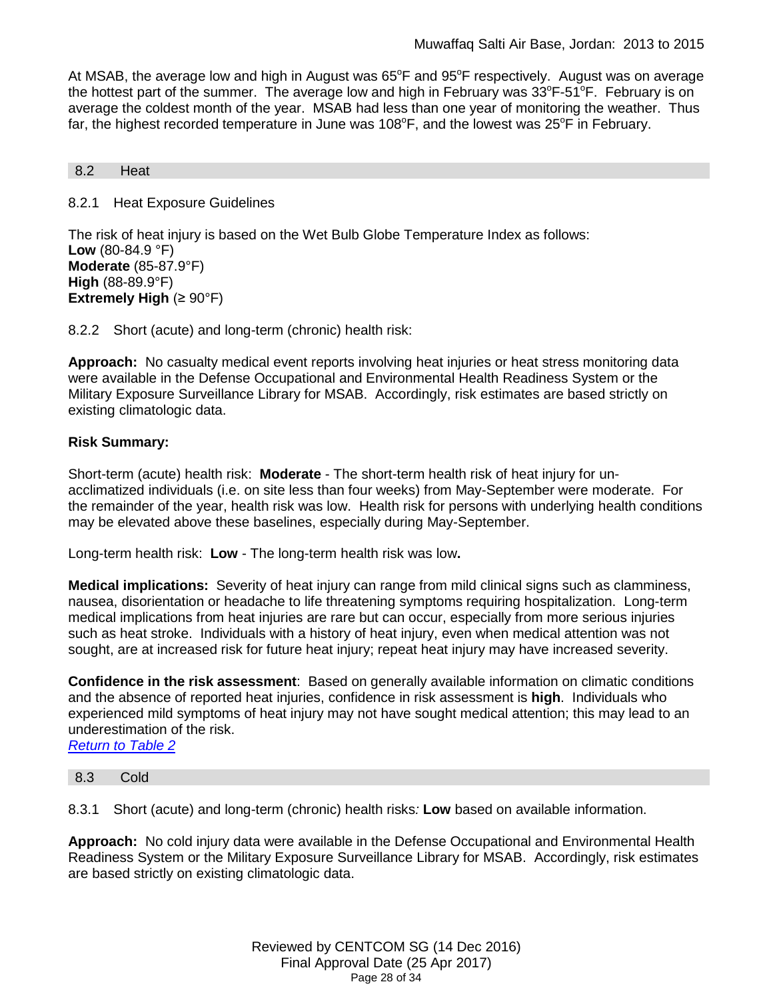At MSAB, the average low and high in August was  $65^{\circ}$ F and  $95^{\circ}$ F respectively. August was on average the hottest part of the summer. The average low and high in February was  $33^{\circ}$ F-51<sup> $\circ$ </sup>F. February is on average the coldest month of the year. MSAB had less than one year of monitoring the weather. Thus far, the highest recorded temperature in June was 108°F, and the lowest was 25°F in February.

#### <span id="page-27-0"></span>8.2 Heat

8.2.1 Heat Exposure Guidelines

The risk of heat injury is based on the Wet Bulb Globe Temperature Index as follows: **Low** (80-84.9 °F) **Moderate** (85-87.9°F) **High** (88-89.9°F) **Extremely High** (≥ 90°F)

8.2.2 Short (acute) and long-term (chronic) health risk:

**Approach:** No casualty medical event reports involving heat injuries or heat stress monitoring data were available in the Defense Occupational and Environmental Health Readiness System or the Military Exposure Surveillance Library for MSAB. Accordingly, risk estimates are based strictly on existing climatologic data.

#### **Risk Summary:**

Short-term (acute) health risk: **Moderate** - The short-term health risk of heat injury for unacclimatized individuals (i.e. on site less than four weeks) from May-September were moderate. For the remainder of the year, health risk was low. Health risk for persons with underlying health conditions may be elevated above these baselines, especially during May-September.

Long-term health risk: **Low** - The long-term health risk was low**.**

**Medical implications:** Severity of heat injury can range from mild clinical signs such as clamminess, nausea, disorientation or headache to life threatening symptoms requiring hospitalization. Long-term medical implications from heat injuries are rare but can occur, especially from more serious injuries such as heat stroke. Individuals with a history of heat injury, even when medical attention was not sought, are at increased risk for future heat injury; repeat heat injury may have increased severity.

**Confidence in the risk assessment**: Based on generally available information on climatic conditions and the absence of reported heat injuries, confidence in risk assessment is **high**. Individuals who experienced mild symptoms of heat injury may not have sought medical attention; this may lead to an underestimation of the risk.

*[Return to Table 2](#page-6-3)*

#### <span id="page-27-1"></span>8.3 Cold

8.3.1 Short (acute) and long-term (chronic) health risks*:* **Low** based on available information.

**Approach:** No cold injury data were available in the Defense Occupational and Environmental Health Readiness System or the Military Exposure Surveillance Library for MSAB. Accordingly, risk estimates are based strictly on existing climatologic data.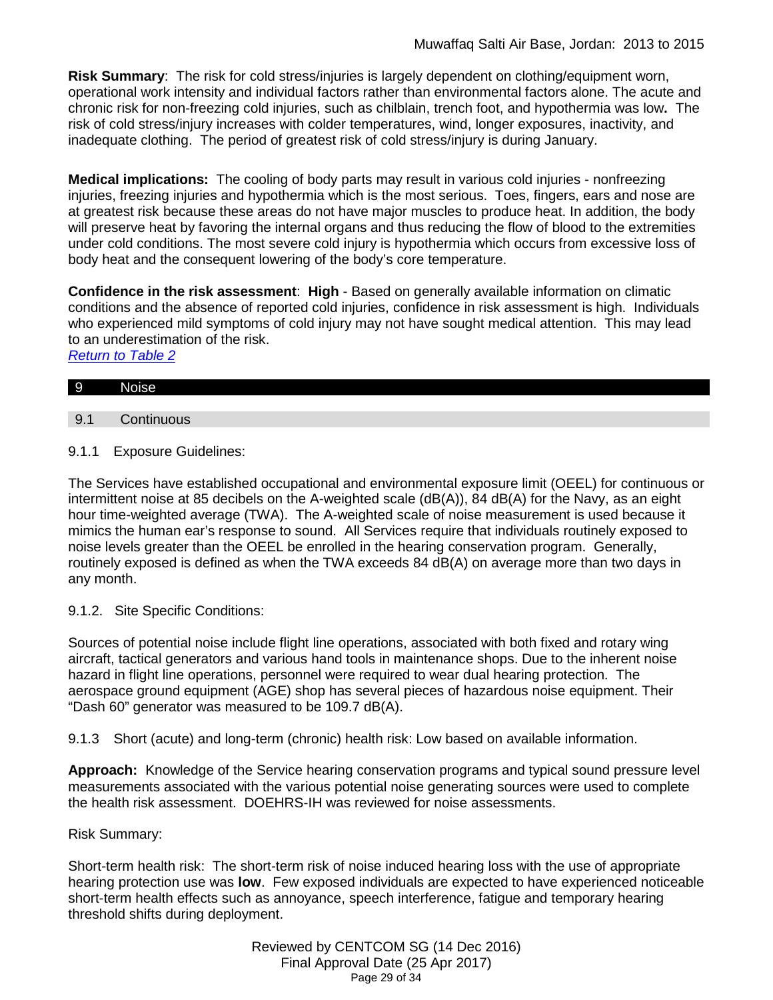**Risk Summary**: The risk for cold stress/injuries is largely dependent on clothing/equipment worn, operational work intensity and individual factors rather than environmental factors alone. The acute and chronic risk for non-freezing cold injuries, such as chilblain, trench foot, and hypothermia was low**.** The risk of cold stress/injury increases with colder temperatures, wind, longer exposures, inactivity, and inadequate clothing. The period of greatest risk of cold stress/injury is during January.

**Medical implications:** The cooling of body parts may result in various cold injuries - nonfreezing injuries, freezing injuries and hypothermia which is the most serious. Toes, fingers, ears and nose are at greatest risk because these areas do not have major muscles to produce heat. In addition, the body will preserve heat by favoring the internal organs and thus reducing the flow of blood to the extremities under cold conditions. The most severe cold injury is hypothermia which occurs from excessive loss of body heat and the consequent lowering of the body's core temperature.

**Confidence in the risk assessment**: **High** - Based on generally available information on climatic conditions and the absence of reported cold injuries, confidence in risk assessment is high. Individuals who experienced mild symptoms of cold injury may not have sought medical attention. This may lead to an underestimation of the risk. *[Return to Table 2](#page-6-3)*

|  | $\overline{9}$ | Nr.<br>NG7<br>-<br>. . |  |  |  |  |  |
|--|----------------|------------------------|--|--|--|--|--|
|--|----------------|------------------------|--|--|--|--|--|

- <span id="page-28-0"></span>9.1 Continuous
- 9.1.1 Exposure Guidelines:

The Services have established occupational and environmental exposure limit (OEEL) for continuous or intermittent noise at 85 decibels on the A-weighted scale (dB(A)), 84 dB(A) for the Navy, as an eight hour time-weighted average (TWA). The A-weighted scale of noise measurement is used because it mimics the human ear's response to sound. All Services require that individuals routinely exposed to noise levels greater than the OEEL be enrolled in the hearing conservation program. Generally, routinely exposed is defined as when the TWA exceeds 84 dB(A) on average more than two days in any month.

9.1.2. Site Specific Conditions:

Sources of potential noise include flight line operations, associated with both fixed and rotary wing aircraft, tactical generators and various hand tools in maintenance shops. Due to the inherent noise hazard in flight line operations, personnel were required to wear dual hearing protection. The aerospace ground equipment (AGE) shop has several pieces of hazardous noise equipment. Their "Dash 60" generator was measured to be 109.7 dB(A).

9.1.3 Short (acute) and long-term (chronic) health risk: Low based on available information.

**Approach:** Knowledge of the Service hearing conservation programs and typical sound pressure level measurements associated with the various potential noise generating sources were used to complete the health risk assessment. DOEHRS-IH was reviewed for noise assessments.

# Risk Summary:

Short-term health risk: The short-term risk of noise induced hearing loss with the use of appropriate hearing protection use was **low**. Few exposed individuals are expected to have experienced noticeable short-term health effects such as annoyance, speech interference, fatigue and temporary hearing threshold shifts during deployment.

> Reviewed by CENTCOM SG (14 Dec 2016) Final Approval Date (25 Apr 2017) Page 29 of 34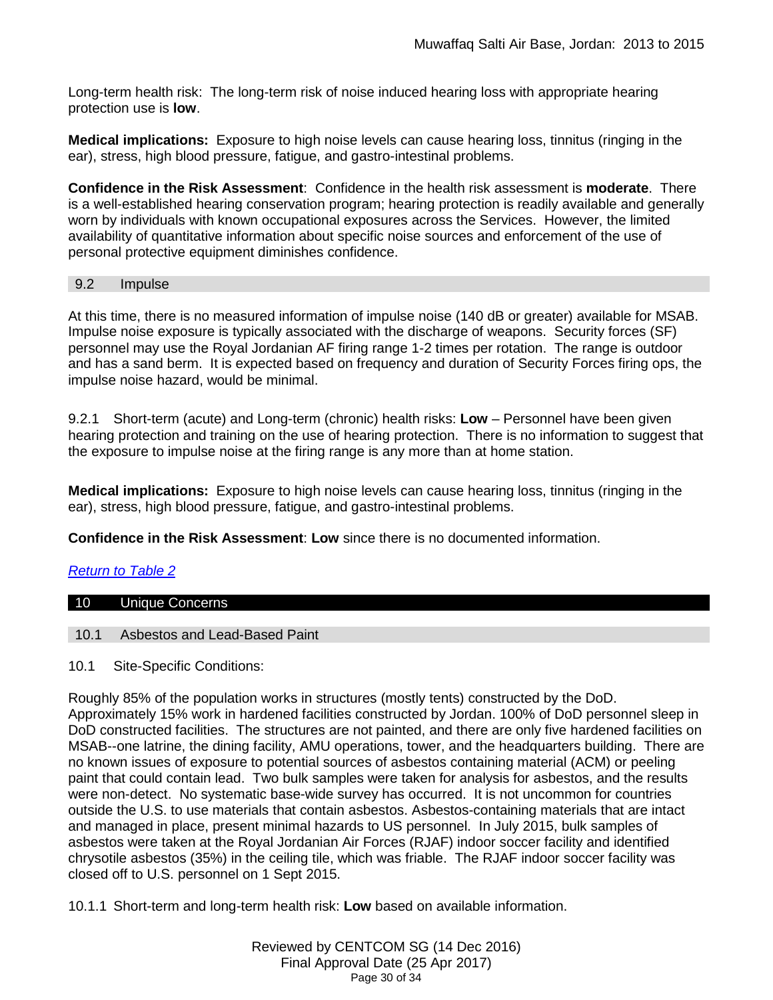Long-term health risk: The long-term risk of noise induced hearing loss with appropriate hearing protection use is **low**.

**Medical implications:** Exposure to high noise levels can cause hearing loss, tinnitus (ringing in the ear), stress, high blood pressure, fatigue, and gastro-intestinal problems.

**Confidence in the Risk Assessment**: Confidence in the health risk assessment is **moderate**. There is a well-established hearing conservation program; hearing protection is readily available and generally worn by individuals with known occupational exposures across the Services. However, the limited availability of quantitative information about specific noise sources and enforcement of the use of personal protective equipment diminishes confidence.

# <span id="page-29-0"></span>9.2 Impulse

At this time, there is no measured information of impulse noise (140 dB or greater) available for MSAB. Impulse noise exposure is typically associated with the discharge of weapons. Security forces (SF) personnel may use the Royal Jordanian AF firing range 1-2 times per rotation. The range is outdoor and has a sand berm. It is expected based on frequency and duration of Security Forces firing ops, the impulse noise hazard, would be minimal.

9.2.1 Short-term (acute) and Long-term (chronic) health risks: **Low** – Personnel have been given hearing protection and training on the use of hearing protection. There is no information to suggest that the exposure to impulse noise at the firing range is any more than at home station.

**Medical implications:** Exposure to high noise levels can cause hearing loss, tinnitus (ringing in the ear), stress, high blood pressure, fatigue, and gastro-intestinal problems.

**Confidence in the Risk Assessment**: **Low** since there is no documented information.

# *[Return to Table 2](#page-7-0)*

#### <span id="page-29-1"></span>10 Unique Concerns

#### <span id="page-29-2"></span>10.1 Asbestos and Lead-Based Paint

10.1 Site-Specific Conditions:

Roughly 85% of the population works in structures (mostly tents) constructed by the DoD. Approximately 15% work in hardened facilities constructed by Jordan. 100% of DoD personnel sleep in DoD constructed facilities. The structures are not painted, and there are only five hardened facilities on MSAB--one latrine, the dining facility, AMU operations, tower, and the headquarters building. There are no known issues of exposure to potential sources of asbestos containing material (ACM) or peeling paint that could contain lead. Two bulk samples were taken for analysis for asbestos, and the results were non-detect. No systematic base-wide survey has occurred. It is not uncommon for countries outside the U.S. to use materials that contain asbestos. Asbestos-containing materials that are intact and managed in place, present minimal hazards to US personnel. In July 2015, bulk samples of asbestos were taken at the Royal Jordanian Air Forces (RJAF) indoor soccer facility and identified chrysotile asbestos (35%) in the ceiling tile, which was friable. The RJAF indoor soccer facility was closed off to U.S. personnel on 1 Sept 2015.

10.1.1 Short-term and long-term health risk: **Low** based on available information.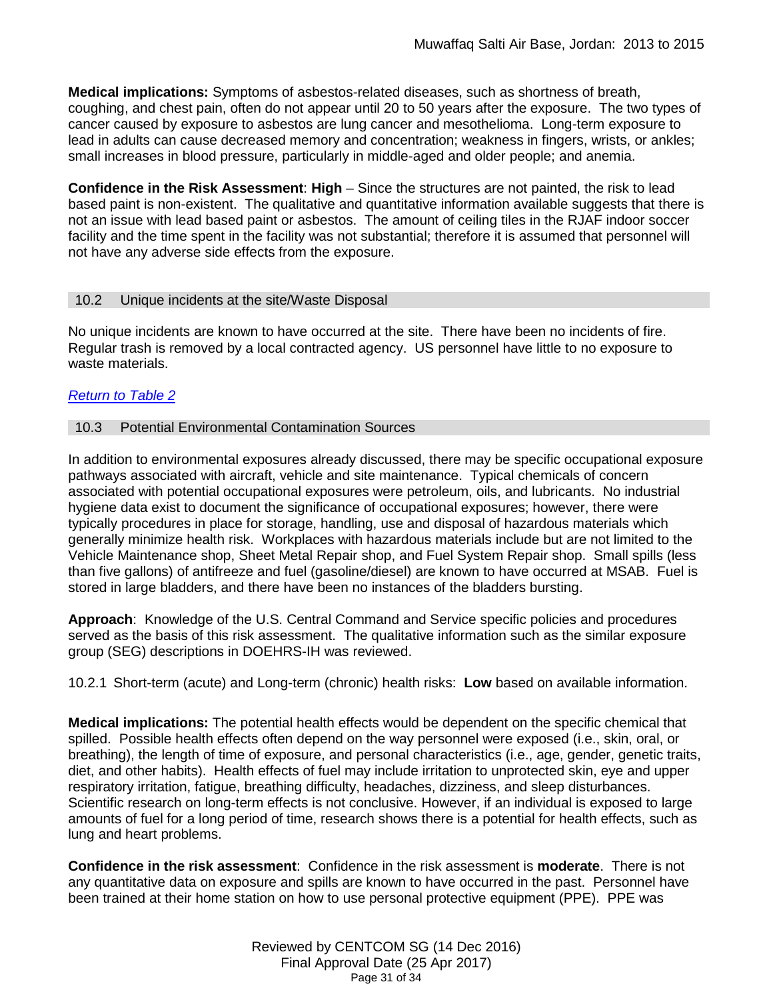**Medical implications:** Symptoms of asbestos-related diseases, such as shortness of breath, coughing, and chest pain, often do not appear until 20 to 50 years after the exposure. The two types of cancer caused by exposure to asbestos are lung cancer and mesothelioma. Long-term exposure to lead in adults can cause decreased memory and concentration; weakness in fingers, wrists, or ankles; small increases in blood pressure, particularly in middle-aged and older people; and anemia.

**Confidence in the Risk Assessment**: **High** – Since the structures are not painted, the risk to lead based paint is non-existent. The qualitative and quantitative information available suggests that there is not an issue with lead based paint or asbestos. The amount of ceiling tiles in the RJAF indoor soccer facility and the time spent in the facility was not substantial; therefore it is assumed that personnel will not have any adverse side effects from the exposure.

#### <span id="page-30-0"></span>10.2 Unique incidents at the site/Waste Disposal

No unique incidents are known to have occurred at the site. There have been no incidents of fire. Regular trash is removed by a local contracted agency. US personnel have little to no exposure to waste materials.

# *[Return to Table 2](#page-7-1)*

#### <span id="page-30-1"></span>10.3 Potential Environmental Contamination Sources

In addition to environmental exposures already discussed, there may be specific occupational exposure pathways associated with aircraft, vehicle and site maintenance. Typical chemicals of concern associated with potential occupational exposures were petroleum, oils, and lubricants. No industrial hygiene data exist to document the significance of occupational exposures; however, there were typically procedures in place for storage, handling, use and disposal of hazardous materials which generally minimize health risk. Workplaces with hazardous materials include but are not limited to the Vehicle Maintenance shop, Sheet Metal Repair shop, and Fuel System Repair shop. Small spills (less than five gallons) of antifreeze and fuel (gasoline/diesel) are known to have occurred at MSAB. Fuel is stored in large bladders, and there have been no instances of the bladders bursting.

**Approach**: Knowledge of the U.S. Central Command and Service specific policies and procedures served as the basis of this risk assessment. The qualitative information such as the similar exposure group (SEG) descriptions in DOEHRS-IH was reviewed.

10.2.1 Short-term (acute) and Long-term (chronic) health risks: **Low** based on available information.

**Medical implications:** The potential health effects would be dependent on the specific chemical that spilled. Possible health effects often depend on the way personnel were exposed (i.e., skin, oral, or breathing), the length of time of exposure, and personal characteristics (i.e., age, gender, genetic traits, diet, and other habits). Health effects of fuel may include irritation to unprotected skin, eye and upper respiratory irritation, fatigue, breathing difficulty, headaches, dizziness, and sleep disturbances. Scientific research on long-term effects is not conclusive. However, if an individual is exposed to large amounts of fuel for a long period of time, research shows there is a potential for health effects, such as lung and heart problems.

**Confidence in the risk assessment**: Confidence in the risk assessment is **moderate**. There is not any quantitative data on exposure and spills are known to have occurred in the past. Personnel have been trained at their home station on how to use personal protective equipment (PPE). PPE was

> Reviewed by CENTCOM SG (14 Dec 2016) Final Approval Date (25 Apr 2017) Page 31 of 34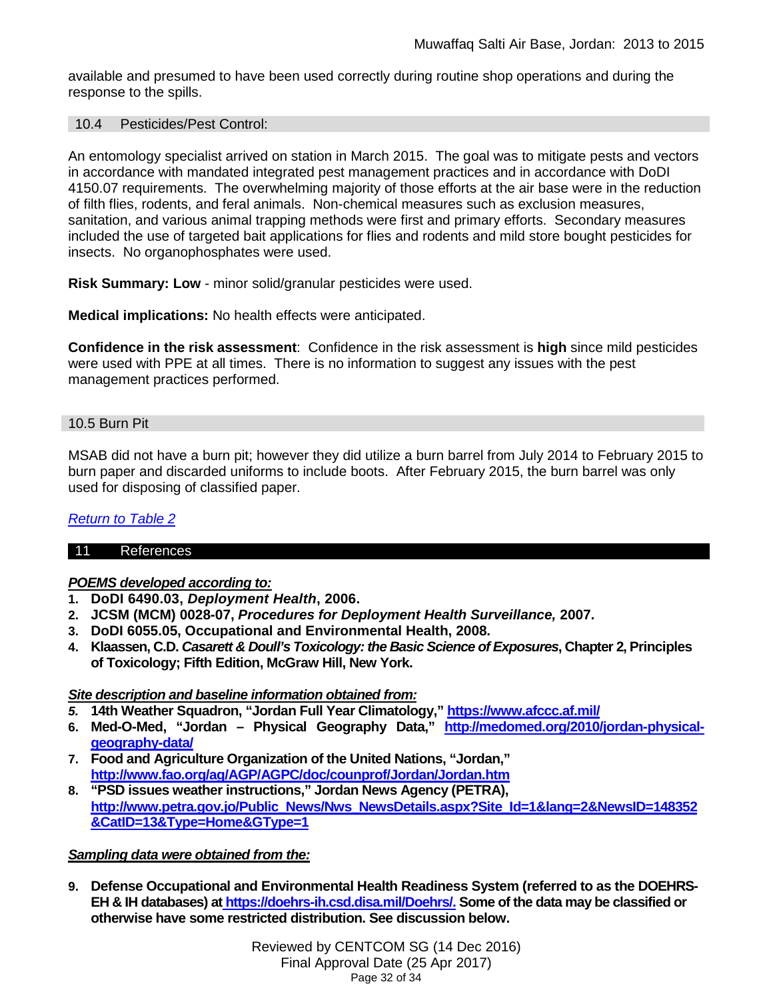available and presumed to have been used correctly during routine shop operations and during the response to the spills.

#### <span id="page-31-0"></span>10.4 Pesticides/Pest Control:

An entomology specialist arrived on station in March 2015. The goal was to mitigate pests and vectors in accordance with mandated integrated pest management practices and in accordance with DoDI 4150.07 requirements. The overwhelming majority of those efforts at the air base were in the reduction of filth flies, rodents, and feral animals. Non-chemical measures such as exclusion measures, sanitation, and various animal trapping methods were first and primary efforts. Secondary measures included the use of targeted bait applications for flies and rodents and mild store bought pesticides for insects. No organophosphates were used.

**Risk Summary: Low** - minor solid/granular pesticides were used.

**Medical implications:** No health effects were anticipated.

**Confidence in the risk assessment**: Confidence in the risk assessment is **high** since mild pesticides were used with PPE at all times. There is no information to suggest any issues with the pest management practices performed.

#### <span id="page-31-1"></span>10.5 Burn Pit

MSAB did not have a burn pit; however they did utilize a burn barrel from July 2014 to February 2015 to burn paper and discarded uniforms to include boots. After February 2015, the burn barrel was only used for disposing of classified paper.

# *[Return to Table 2](#page-7-1)*

#### 11 References

# *POEMS developed according to:*

- **1. DoDI 6490.03,** *Deployment Health***, 2006.**
- **2. JCSM (MCM) 0028-07,** *Procedures for Deployment Health Surveillance,* **2007.**
- **3. DoDI 6055.05, Occupational and Environmental Health, 2008.**
- **4. Klaassen, C.D.** *Casarett & Doull's Toxicology: the Basic Science of Exposures***, Chapter 2, Principles of Toxicology; Fifth Edition, McGraw Hill, New York.**

#### *Site description and baseline information obtained from:*

- *5.* **14th Weather Squadron, "Jordan Full Year Climatology," <https://www.afccc.af.mil/>**
- **6. Med-O-Med, "Jordan – Physical Geography Data," [http://medomed.org/2010/jordan-physical](http://medomed.org/2010/jordan-physical-geography-data/)[geography-data/](http://medomed.org/2010/jordan-physical-geography-data/)**
- **7. Food and Agriculture Organization of the United Nations, "Jordan," <http://www.fao.org/ag/AGP/AGPC/doc/counprof/Jordan/Jordan.htm>**
- **8. "PSD issues weather instructions," Jordan News Agency (PETRA), [http://www.petra.gov.jo/Public\\_News/Nws\\_NewsDetails.aspx?Site\\_Id=1&lang=2&NewsID=148352](http://www.petra.gov.jo/Public_News/Nws_NewsDetails.aspx?Site_Id=1&lang=2&NewsID=148352&CatID=13&Type=Home>ype=1)**  $&CatID=13&Type=Home&GType=1$

#### *Sampling data were obtained from the:*

**9. Defense Occupational and Environmental Health Readiness System (referred to as the DOEHRS-EH & IH databases) at [https://doehrs-ih.csd.disa.mil/Doehrs/.](https://doehrs-ih.csd.disa.mil/Doehrs/) Some of the data may be classified or otherwise have some restricted distribution. See discussion below.**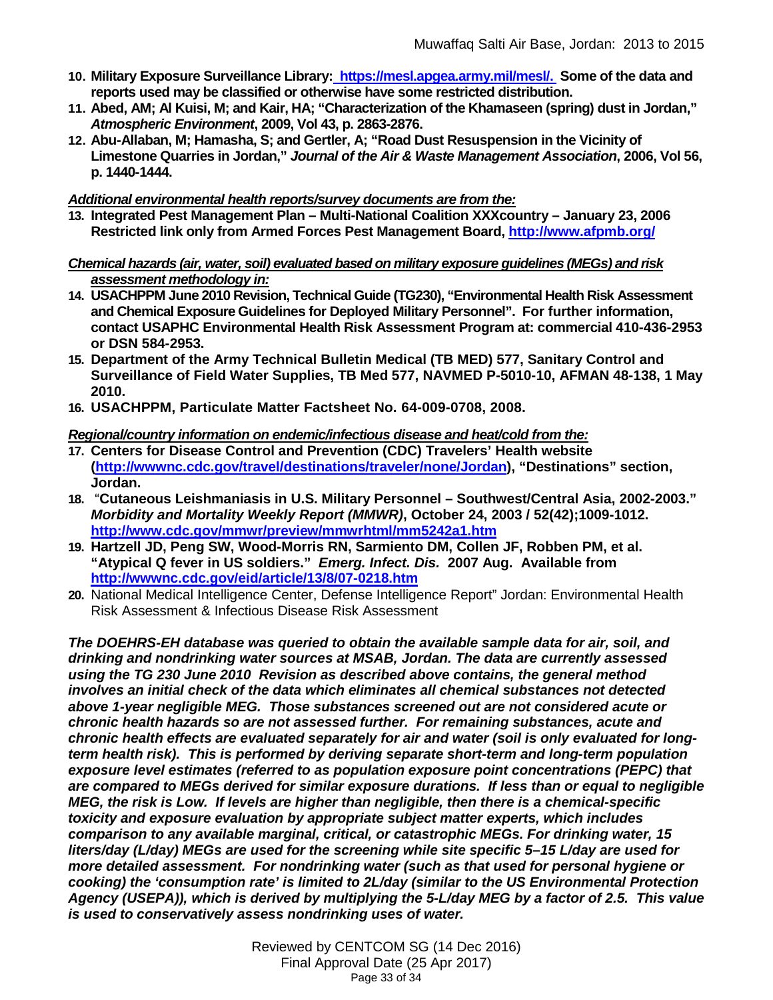- **10. Military Exposure Surveillance Library: [https://mesl.apgea.army.mil/mesl/.](https://mesl.apgea.army.mil/mesl/) Some of the data and reports used may be classified or otherwise have some restricted distribution.**
- **11. Abed, AM; Al Kuisi, M; and Kair, HA; "Characterization of the Khamaseen (spring) dust in Jordan,"** *Atmospheric Environment***, 2009, Vol 43, p. 2863-2876.**
- **12. Abu-Allaban, M; Hamasha, S; and Gertler, A; "Road Dust Resuspension in the Vicinity of Limestone Quarries in Jordan,"** *Journal of the Air & Waste Management Association***, 2006, Vol 56, p. 1440-1444.**

### *Additional environmental health reports/survey documents are from the:*

**13. Integrated Pest Management Plan – Multi-National Coalition XXXcountry – January 23, 2006 Restricted link only from Armed Forces Pest Management Board,<http://www.afpmb.org/>**

### *Chemical hazards (air, water, soil) evaluated based on military exposure guidelines (MEGs) and risk assessment methodology in:*

- **14. USACHPPM June 2010 Revision, Technical Guide (TG230), "Environmental Health Risk Assessment and Chemical Exposure Guidelines for Deployed Military Personnel". For further information, contact USAPHC Environmental Health Risk Assessment Program at: commercial 410-436-2953 or DSN 584-2953.**
- **15. Department of the Army Technical Bulletin Medical (TB MED) 577, Sanitary Control and Surveillance of Field Water Supplies, TB Med 577, NAVMED P-5010-10, AFMAN 48-138, 1 May 2010.**
- **16. USACHPPM, Particulate Matter Factsheet No. 64-009-0708, 2008.**

## *Regional/country information on endemic/infectious disease and heat/cold from the:*

- **17. Centers for Disease Control and Prevention (CDC) Travelers' Health website [\(http://wwwnc.cdc.gov/travel/destinations/traveler/none/J](http://wwwnc.cdc.gov/travel/destinations/traveler/none/)ordan), "Destinations" section, Jordan.**
- **18.** "**Cutaneous Leishmaniasis in U.S. Military Personnel – Southwest/Central Asia, 2002-2003."**  *Morbidity and Mortality Weekly Report (MMWR)***, October 24, 2003 / 52(42);1009-1012. <http://www.cdc.gov/mmwr/preview/mmwrhtml/mm5242a1.htm>**
- **19. Hartzell JD, Peng SW, Wood-Morris RN, Sarmiento DM, Collen JF, Robben PM, et al. "Atypical Q fever in US soldiers."** *Emerg. Infect. Dis.* **2007 Aug. Available from <http://wwwnc.cdc.gov/eid/article/13/8/07-0218.htm>**
- **20.** National Medical Intelligence Center, Defense Intelligence Report" Jordan: Environmental Health Risk Assessment & Infectious Disease Risk Assessment

*The DOEHRS-EH database was queried to obtain the available sample data for air, soil, and drinking and nondrinking water sources at MSAB, Jordan. The data are currently assessed using the TG 230 June 2010 Revision as described above contains, the general method involves an initial check of the data which eliminates all chemical substances not detected above 1-year negligible MEG. Those substances screened out are not considered acute or chronic health hazards so are not assessed further. For remaining substances, acute and chronic health effects are evaluated separately for air and water (soil is only evaluated for longterm health risk). This is performed by deriving separate short-term and long-term population exposure level estimates (referred to as population exposure point concentrations (PEPC) that are compared to MEGs derived for similar exposure durations. If less than or equal to negligible MEG, the risk is Low. If levels are higher than negligible, then there is a chemical-specific toxicity and exposure evaluation by appropriate subject matter experts, which includes comparison to any available marginal, critical, or catastrophic MEGs. For drinking water, 15 liters/day (L/day) MEGs are used for the screening while site specific 5–15 L/day are used for more detailed assessment. For nondrinking water (such as that used for personal hygiene or cooking) the 'consumption rate' is limited to 2L/day (similar to the US Environmental Protection Agency (USEPA)), which is derived by multiplying the 5-L/day MEG by a factor of 2.5. This value is used to conservatively assess nondrinking uses of water.*